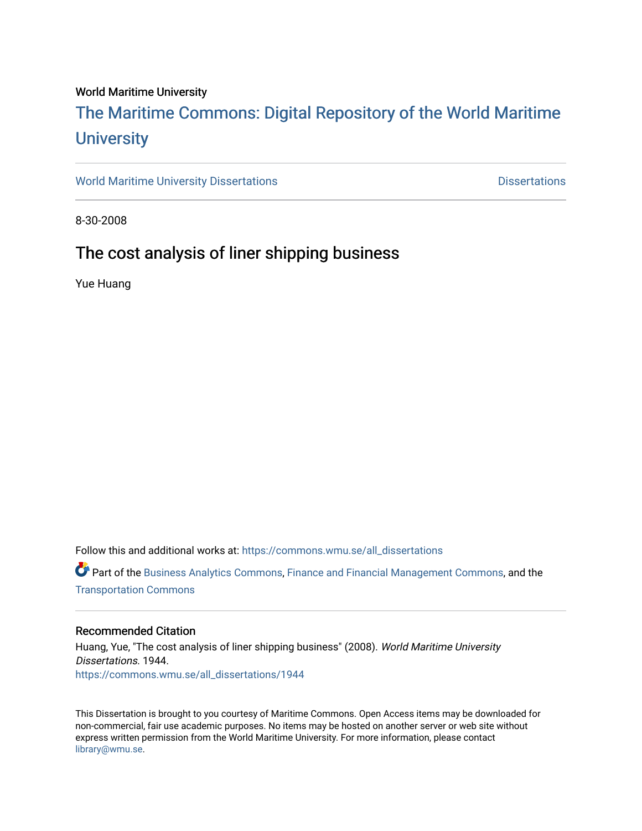#### World Maritime University

### [The Maritime Commons: Digital Repository of the World Maritime](https://commons.wmu.se/)  **University**

[World Maritime University Dissertations](https://commons.wmu.se/all_dissertations) **Contact Contact Contact Contact Contact Contact Contact Contact Contact Contact Contact Contact Contact Contact Contact Contact Contact Contact Contact Contact Contact Contact Conta** 

8-30-2008

### The cost analysis of liner shipping business

Yue Huang

Follow this and additional works at: [https://commons.wmu.se/all\\_dissertations](https://commons.wmu.se/all_dissertations?utm_source=commons.wmu.se%2Fall_dissertations%2F1944&utm_medium=PDF&utm_campaign=PDFCoverPages) 

Part of the [Business Analytics Commons](http://network.bepress.com/hgg/discipline/1398?utm_source=commons.wmu.se%2Fall_dissertations%2F1944&utm_medium=PDF&utm_campaign=PDFCoverPages), [Finance and Financial Management Commons](http://network.bepress.com/hgg/discipline/631?utm_source=commons.wmu.se%2Fall_dissertations%2F1944&utm_medium=PDF&utm_campaign=PDFCoverPages), and the [Transportation Commons](http://network.bepress.com/hgg/discipline/1068?utm_source=commons.wmu.se%2Fall_dissertations%2F1944&utm_medium=PDF&utm_campaign=PDFCoverPages) 

#### Recommended Citation

Huang, Yue, "The cost analysis of liner shipping business" (2008). World Maritime University Dissertations. 1944. [https://commons.wmu.se/all\\_dissertations/1944](https://commons.wmu.se/all_dissertations/1944?utm_source=commons.wmu.se%2Fall_dissertations%2F1944&utm_medium=PDF&utm_campaign=PDFCoverPages)

This Dissertation is brought to you courtesy of Maritime Commons. Open Access items may be downloaded for non-commercial, fair use academic purposes. No items may be hosted on another server or web site without express written permission from the World Maritime University. For more information, please contact [library@wmu.se](mailto:library@wmu.edu).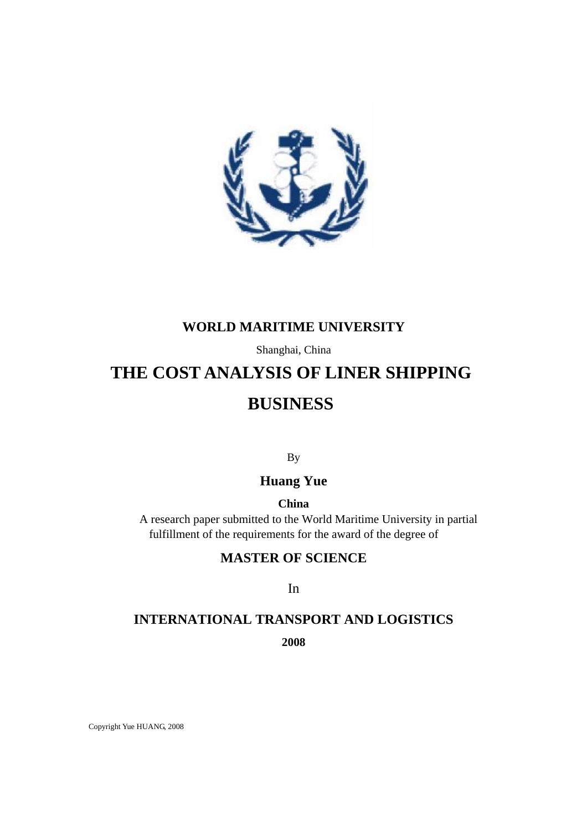

### **WORLD MARITIME UNIVERSITY**

Shanghai, China

### **THE COST ANALYSIS OF LINER SHIPPING**

### **BUSINESS**

By

### **Huang Yue**

**China** 

 A research paper submitted to the World Maritime University in partial fulfillment of the requirements for the award of the degree of

### **MASTER OF SCIENCE**

In

# **INTERNATIONAL TRANSPORT AND LOGISTICS**

**2008**

Copyright Yue HUANG, 2008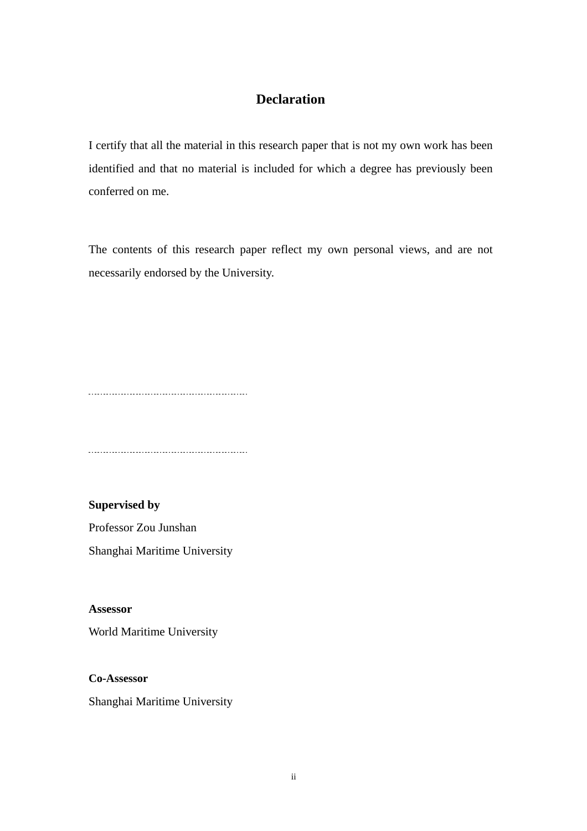#### **Declaration**

I certify that all the material in this research paper that is not my own work has been identified and that no material is included for which a degree has previously been conferred on me.

The contents of this research paper reflect my own personal views, and are not necessarily endorsed by the University.

 $\overline{a}$ 

**Supervised by**  Professor Zou Junshan Shanghai Maritime University

**Assessor** 

World Maritime University

**Co-Assessor** 

Shanghai Maritime University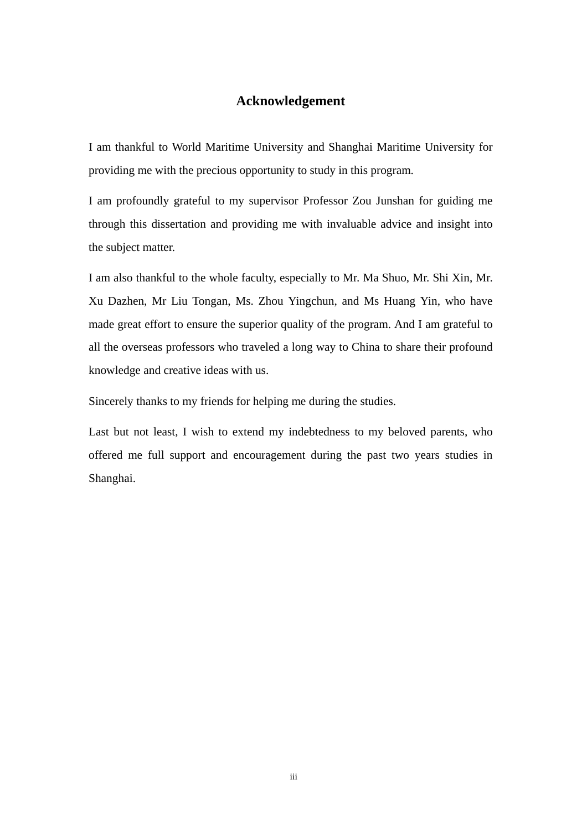#### **Acknowledgement**

I am thankful to World Maritime University and Shanghai Maritime University for providing me with the precious opportunity to study in this program.

I am profoundly grateful to my supervisor Professor Zou Junshan for guiding me through this dissertation and providing me with invaluable advice and insight into the subject matter.

I am also thankful to the whole faculty, especially to Mr. Ma Shuo, Mr. Shi Xin, Mr. Xu Dazhen, Mr Liu Tongan, Ms. Zhou Yingchun, and Ms Huang Yin, who have made great effort to ensure the superior quality of the program. And I am grateful to all the overseas professors who traveled a long way to China to share their profound knowledge and creative ideas with us.

Sincerely thanks to my friends for helping me during the studies.

Last but not least, I wish to extend my indebtedness to my beloved parents, who offered me full support and encouragement during the past two years studies in Shanghai.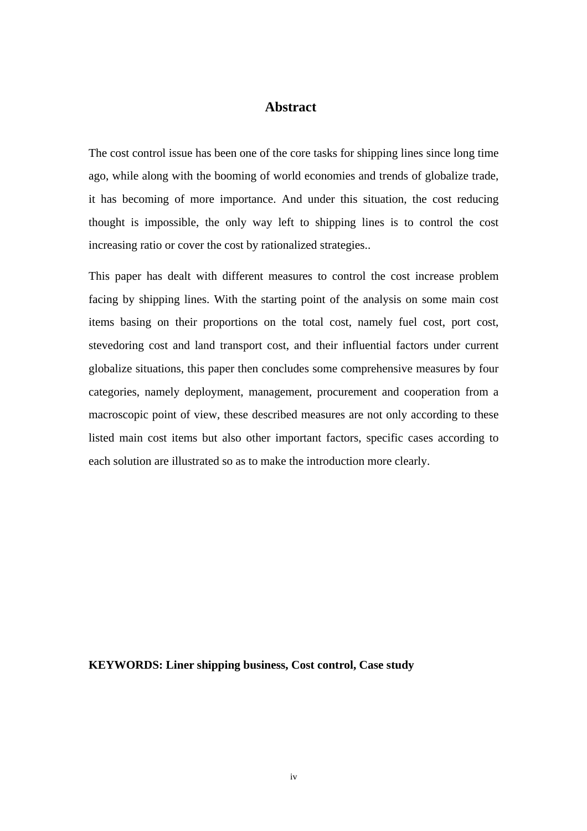#### **Abstract**

The cost control issue has been one of the core tasks for shipping lines since long time ago, while along with the booming of world economies and trends of globalize trade, it has becoming of more importance. And under this situation, the cost reducing thought is impossible, the only way left to shipping lines is to control the cost increasing ratio or cover the cost by rationalized strategies..

This paper has dealt with different measures to control the cost increase problem facing by shipping lines. With the starting point of the analysis on some main cost items basing on their proportions on the total cost, namely fuel cost, port cost, stevedoring cost and land transport cost, and their influential factors under current globalize situations, this paper then concludes some comprehensive measures by four categories, namely deployment, management, procurement and cooperation from a macroscopic point of view, these described measures are not only according to these listed main cost items but also other important factors, specific cases according to each solution are illustrated so as to make the introduction more clearly.

**KEYWORDS: Liner shipping business, Cost control, Case study**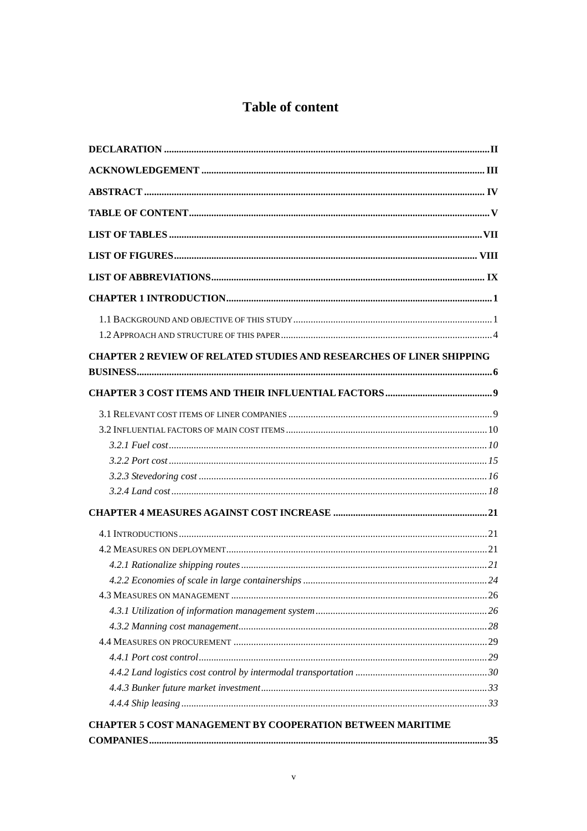### Table of content

| <b>CHAPTER 2 REVIEW OF RELATED STUDIES AND RESEARCHES OF LINER SHIPPING</b> |  |
|-----------------------------------------------------------------------------|--|
|                                                                             |  |
|                                                                             |  |
|                                                                             |  |
|                                                                             |  |
|                                                                             |  |
|                                                                             |  |
|                                                                             |  |
|                                                                             |  |
|                                                                             |  |
|                                                                             |  |
|                                                                             |  |
|                                                                             |  |
|                                                                             |  |
|                                                                             |  |
|                                                                             |  |
|                                                                             |  |
|                                                                             |  |
|                                                                             |  |
|                                                                             |  |
|                                                                             |  |
| <b>CHAPTER 5 COST MANAGEMENT BY COOPERATION BETWEEN MARITIME</b>            |  |
|                                                                             |  |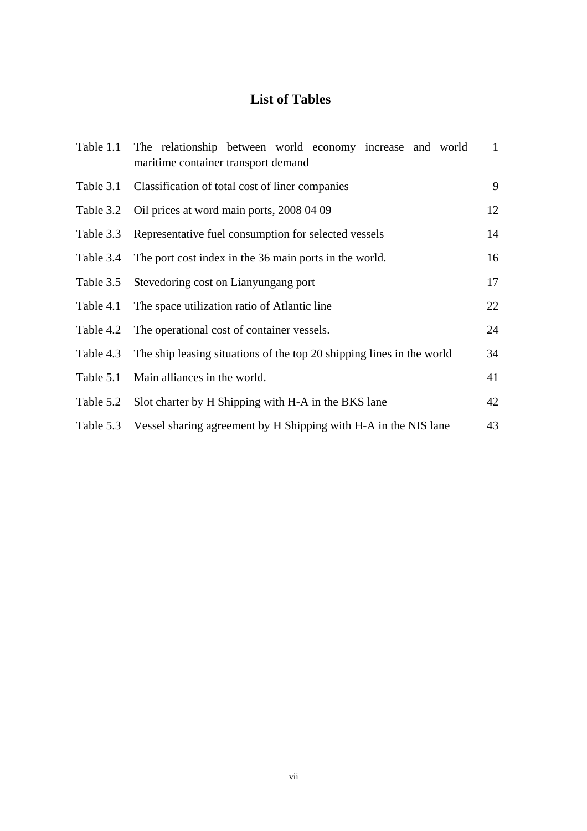### **List of Tables**

|           | Table 1.1 The relationship between world economy increase and world<br>maritime container transport demand | $\mathbf{1}$ |
|-----------|------------------------------------------------------------------------------------------------------------|--------------|
|           | Table 3.1 Classification of total cost of liner companies                                                  | 9            |
| Table 3.2 | Oil prices at word main ports, 2008 04 09                                                                  | 12           |
| Table 3.3 | Representative fuel consumption for selected vessels                                                       | 14           |
| Table 3.4 | The port cost index in the 36 main ports in the world.                                                     | 16           |
| Table 3.5 | Stevedoring cost on Lianyungang port                                                                       | 17           |
| Table 4.1 | The space utilization ratio of Atlantic line                                                               | 22           |
| Table 4.2 | The operational cost of container vessels.                                                                 | 24           |
| Table 4.3 | The ship leasing situations of the top 20 shipping lines in the world                                      | 34           |
| Table 5.1 | Main alliances in the world.                                                                               | 41           |
| Table 5.2 | Slot charter by H Shipping with H-A in the BKS lane                                                        | 42           |
| Table 5.3 | Vessel sharing agreement by H Shipping with H-A in the NIS lane                                            | 43           |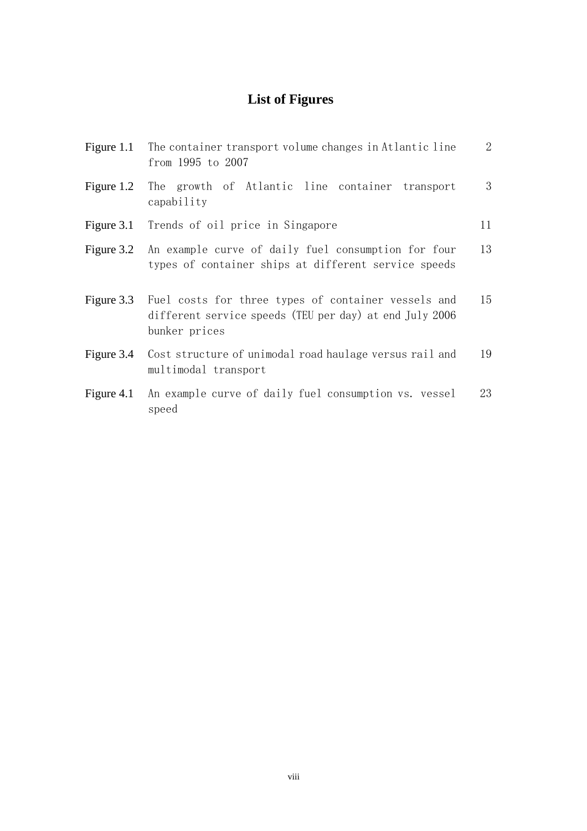### **List of Figures**

| Figure 1.1 | The container transport volume changes in Atlantic line<br>from 1995 to 2007                                                    | $\overline{2}$ |
|------------|---------------------------------------------------------------------------------------------------------------------------------|----------------|
| Figure 1.2 | The growth of Atlantic line container transport<br>capability                                                                   | 3              |
|            | Figure 3.1 Trends of oil price in Singapore                                                                                     | 11             |
| Figure 3.2 | An example curve of daily fuel consumption for four<br>types of container ships at different service speeds                     | 13             |
| Figure 3.3 | Fuel costs for three types of container vessels and<br>different service speeds (TEU per day) at end July 2006<br>bunker prices | 15             |
| Figure 3.4 | Cost structure of unimodal road haulage versus rail and<br>multimodal transport                                                 | 19             |
| Figure 4.1 | An example curve of daily fuel consumption vs. vessel<br>speed                                                                  | 23             |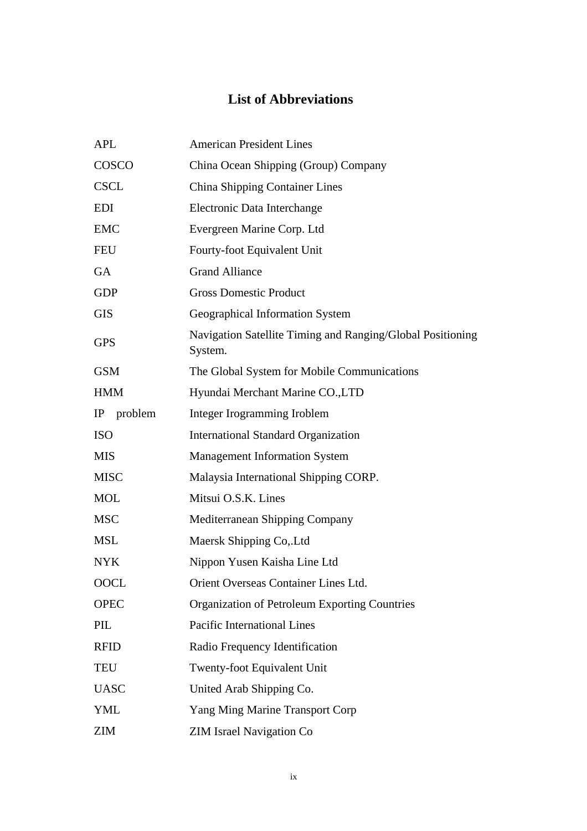### **List of Abbreviations**

| APL         | <b>American President Lines</b>                                       |
|-------------|-----------------------------------------------------------------------|
| COSCO       | China Ocean Shipping (Group) Company                                  |
| <b>CSCL</b> | <b>China Shipping Container Lines</b>                                 |
| <b>EDI</b>  | Electronic Data Interchange                                           |
| <b>EMC</b>  | Evergreen Marine Corp. Ltd                                            |
| <b>FEU</b>  | Fourty-foot Equivalent Unit                                           |
| GA          | <b>Grand Alliance</b>                                                 |
| <b>GDP</b>  | <b>Gross Domestic Product</b>                                         |
| <b>GIS</b>  | Geographical Information System                                       |
| <b>GPS</b>  | Navigation Satellite Timing and Ranging/Global Positioning<br>System. |
| <b>GSM</b>  | The Global System for Mobile Communications                           |
| <b>HMM</b>  | Hyundai Merchant Marine CO., LTD                                      |
| IP problem  | Integer Irogramming Iroblem                                           |
| <b>ISO</b>  | <b>International Standard Organization</b>                            |
| <b>MIS</b>  | <b>Management Information System</b>                                  |
| <b>MISC</b> | Malaysia International Shipping CORP.                                 |
| <b>MOL</b>  | Mitsui O.S.K. Lines                                                   |
| <b>MSC</b>  | Mediterranean Shipping Company                                        |
| <b>MSL</b>  | Maersk Shipping Co,.Ltd                                               |
| <b>NYK</b>  | Nippon Yusen Kaisha Line Ltd                                          |
| OOCL        | Orient Overseas Container Lines Ltd.                                  |
| <b>OPEC</b> | <b>Organization of Petroleum Exporting Countries</b>                  |
| PIL         | <b>Pacific International Lines</b>                                    |
| <b>RFID</b> | Radio Frequency Identification                                        |
| <b>TEU</b>  | <b>Twenty-foot Equivalent Unit</b>                                    |
| <b>UASC</b> | United Arab Shipping Co.                                              |
| YML         | Yang Ming Marine Transport Corp                                       |
| ZIM         | <b>ZIM Israel Navigation Co</b>                                       |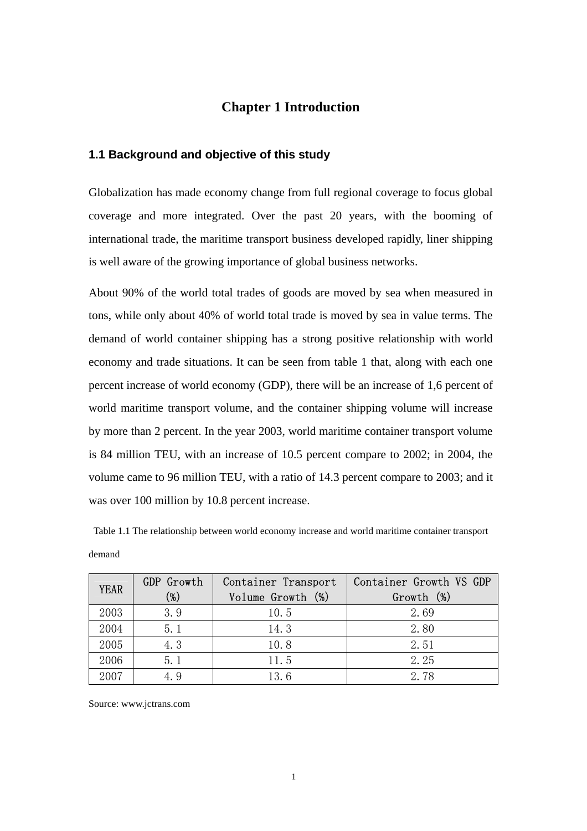#### **Chapter 1 Introduction**

#### **1.1 Background and objective of this study**

Globalization has made economy change from full regional coverage to focus global coverage and more integrated. Over the past 20 years, with the booming of international trade, the maritime transport business developed rapidly, liner shipping is well aware of the growing importance of global business networks.

About 90% of the world total trades of goods are moved by sea when measured in tons, while only about 40% of world total trade is moved by sea in value terms. The demand of world container shipping has a strong positive relationship with world economy and trade situations. It can be seen from table 1 that, along with each one percent increase of world economy (GDP), there will be an increase of 1,6 percent of world maritime transport volume, and the container shipping volume will increase by more than 2 percent. In the year 2003, world maritime container transport volume is 84 million TEU, with an increase of 10.5 percent compare to 2002; in 2004, the volume came to 96 million TEU, with a ratio of 14.3 percent compare to 2003; and it was over 100 million by 10.8 percent increase.

 Table 1.1 The relationship between world economy increase and world maritime container transport demand

| <b>YEAR</b> | GDP Growth<br>$(\%)$ | Container Transport<br>Volume Growth (%) | Container Growth VS GDP<br>Growth (%) |
|-------------|----------------------|------------------------------------------|---------------------------------------|
| 2003        | 3.9                  | 10.5                                     | 2.69                                  |
| 2004        | 5.1                  | 14.3                                     | 2.80                                  |
| 2005        | 4.3                  | 10.8                                     | 2.51                                  |
| 2006        | 5.1                  | 11.5                                     | 2.25                                  |
| 2007        | 4. 9                 | 13.6                                     | 2.78                                  |

Source: www.jctrans.com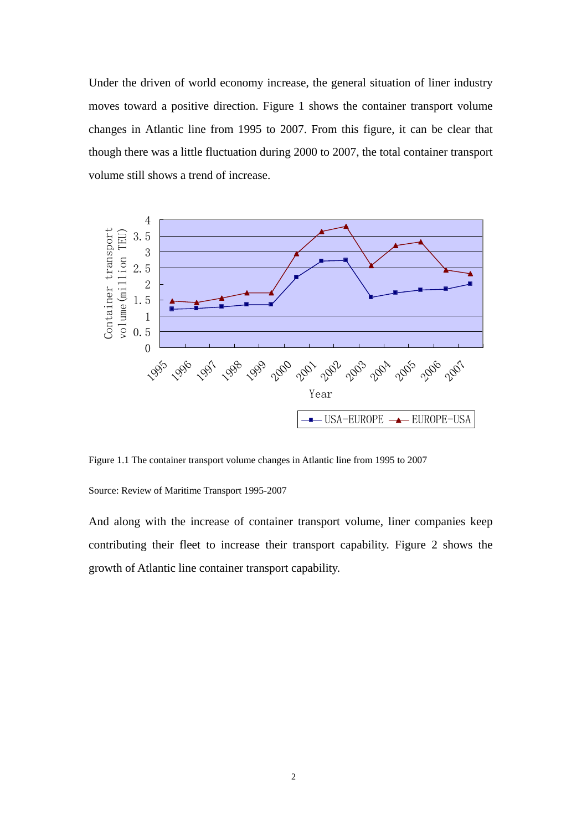Under the driven of world economy increase, the general situation of liner industry moves toward a positive direction. Figure 1 shows the container transport volume changes in Atlantic line from 1995 to 2007. From this figure, it can be clear that though there was a little fluctuation during 2000 to 2007, the total container transport volume still shows a trend of increase.



Figure 1.1 The container transport volume changes in Atlantic line from 1995 to 2007

Source: Review of Maritime Transport 1995-2007

And along with the increase of container transport volume, liner companies keep contributing their fleet to increase their transport capability. Figure 2 shows the growth of Atlantic line container transport capability.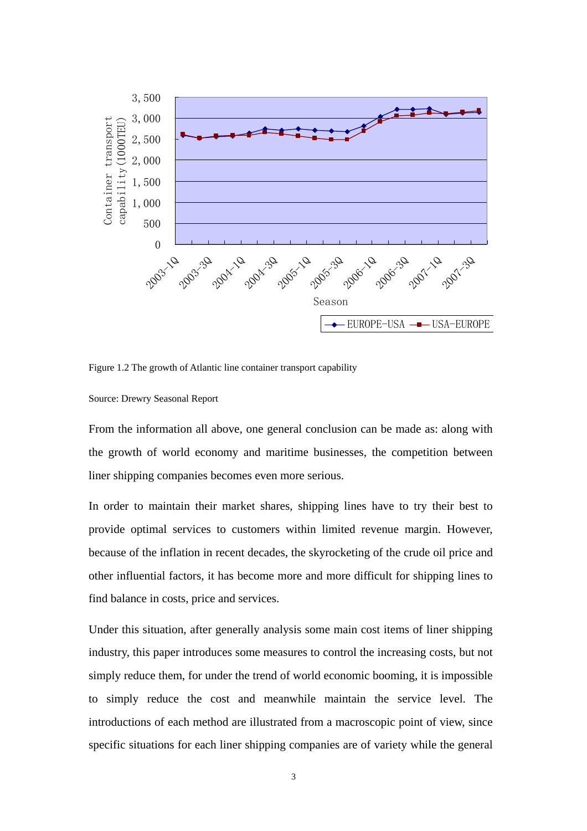

Figure 1.2 The growth of Atlantic line container transport capability

Source: Drewry Seasonal Report

From the information all above, one general conclusion can be made as: along with the growth of world economy and maritime businesses, the competition between liner shipping companies becomes even more serious.

In order to maintain their market shares, shipping lines have to try their best to provide optimal services to customers within limited revenue margin. However, because of the inflation in recent decades, the skyrocketing of the crude oil price and other influential factors, it has become more and more difficult for shipping lines to find balance in costs, price and services.

Under this situation, after generally analysis some main cost items of liner shipping industry, this paper introduces some measures to control the increasing costs, but not simply reduce them, for under the trend of world economic booming, it is impossible to simply reduce the cost and meanwhile maintain the service level. The introductions of each method are illustrated from a macroscopic point of view, since specific situations for each liner shipping companies are of variety while the general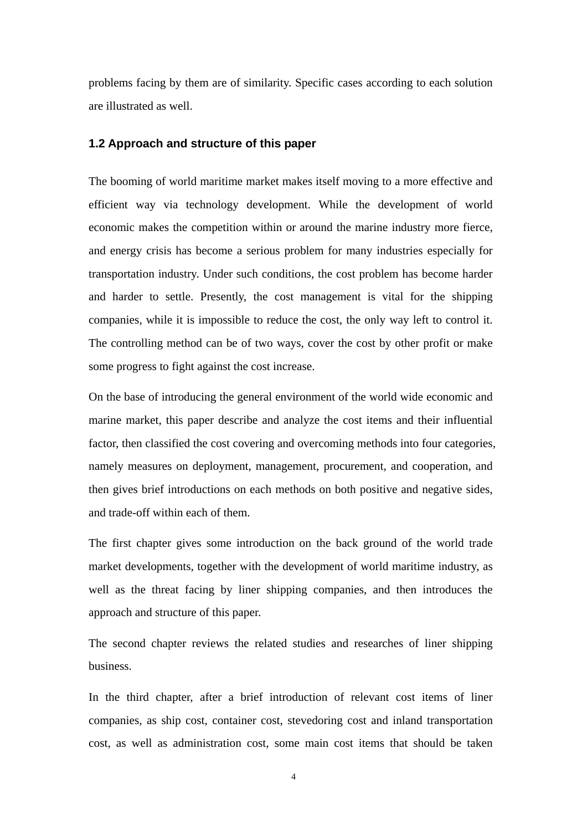problems facing by them are of similarity. Specific cases according to each solution are illustrated as well.

#### **1.2 Approach and structure of this paper**

The booming of world maritime market makes itself moving to a more effective and efficient way via technology development. While the development of world economic makes the competition within or around the marine industry more fierce, and energy crisis has become a serious problem for many industries especially for transportation industry. Under such conditions, the cost problem has become harder and harder to settle. Presently, the cost management is vital for the shipping companies, while it is impossible to reduce the cost, the only way left to control it. The controlling method can be of two ways, cover the cost by other profit or make some progress to fight against the cost increase.

On the base of introducing the general environment of the world wide economic and marine market, this paper describe and analyze the cost items and their influential factor, then classified the cost covering and overcoming methods into four categories, namely measures on deployment, management, procurement, and cooperation, and then gives brief introductions on each methods on both positive and negative sides, and trade-off within each of them.

The first chapter gives some introduction on the back ground of the world trade market developments, together with the development of world maritime industry, as well as the threat facing by liner shipping companies, and then introduces the approach and structure of this paper.

The second chapter reviews the related studies and researches of liner shipping business.

In the third chapter, after a brief introduction of relevant cost items of liner companies, as ship cost, container cost, stevedoring cost and inland transportation cost, as well as administration cost, some main cost items that should be taken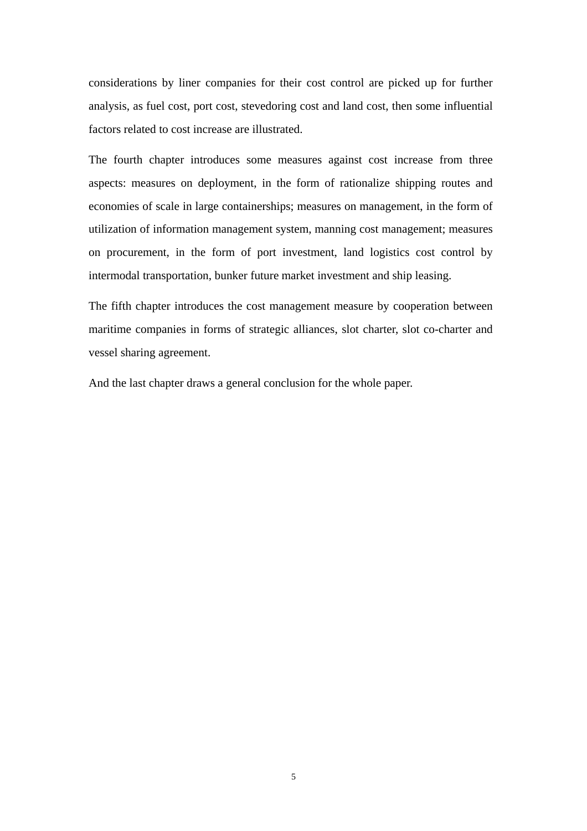considerations by liner companies for their cost control are picked up for further analysis, as fuel cost, port cost, stevedoring cost and land cost, then some influential factors related to cost increase are illustrated.

The fourth chapter introduces some measures against cost increase from three aspects: measures on deployment, in the form of rationalize shipping routes and economies of scale in large containerships; measures on management, in the form of utilization of information management system, manning cost management; measures on procurement, in the form of port investment, land logistics cost control by intermodal transportation, bunker future market investment and ship leasing.

The fifth chapter introduces the cost management measure by cooperation between maritime companies in forms of strategic alliances, slot charter, slot co-charter and vessel sharing agreement.

And the last chapter draws a general conclusion for the whole paper.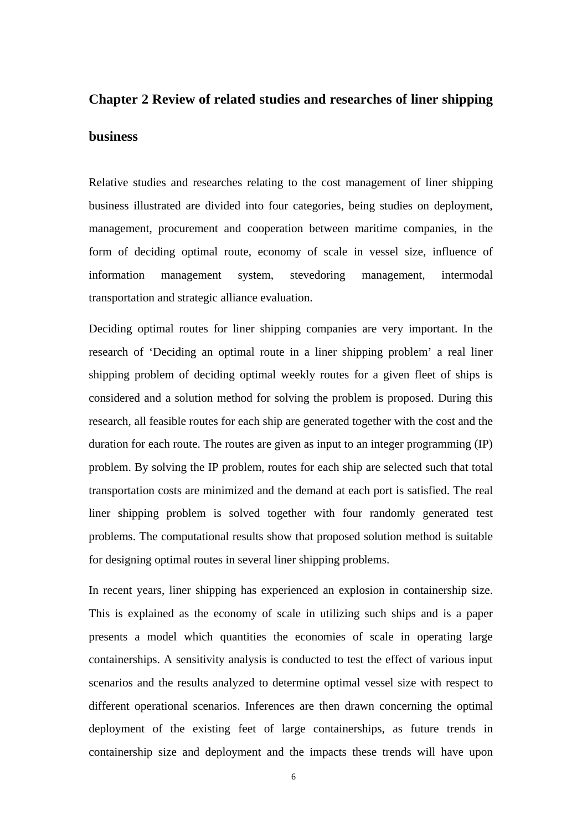## **Chapter 2 Review of related studies and researches of liner shipping business**

Relative studies and researches relating to the cost management of liner shipping business illustrated are divided into four categories, being studies on deployment, management, procurement and cooperation between maritime companies, in the form of deciding optimal route, economy of scale in vessel size, influence of information management system, stevedoring management, intermodal transportation and strategic alliance evaluation.

Deciding optimal routes for liner shipping companies are very important. In the research of 'Deciding an optimal route in a liner shipping problem' a real liner shipping problem of deciding optimal weekly routes for a given fleet of ships is considered and a solution method for solving the problem is proposed. During this research, all feasible routes for each ship are generated together with the cost and the duration for each route. The routes are given as input to an integer programming (IP) problem. By solving the IP problem, routes for each ship are selected such that total transportation costs are minimized and the demand at each port is satisfied. The real liner shipping problem is solved together with four randomly generated test problems. The computational results show that proposed solution method is suitable for designing optimal routes in several liner shipping problems.

In recent years, liner shipping has experienced an explosion in containership size. This is explained as the economy of scale in utilizing such ships and is a paper presents a model which quantities the economies of scale in operating large containerships. A sensitivity analysis is conducted to test the effect of various input scenarios and the results analyzed to determine optimal vessel size with respect to different operational scenarios. Inferences are then drawn concerning the optimal deployment of the existing feet of large containerships, as future trends in containership size and deployment and the impacts these trends will have upon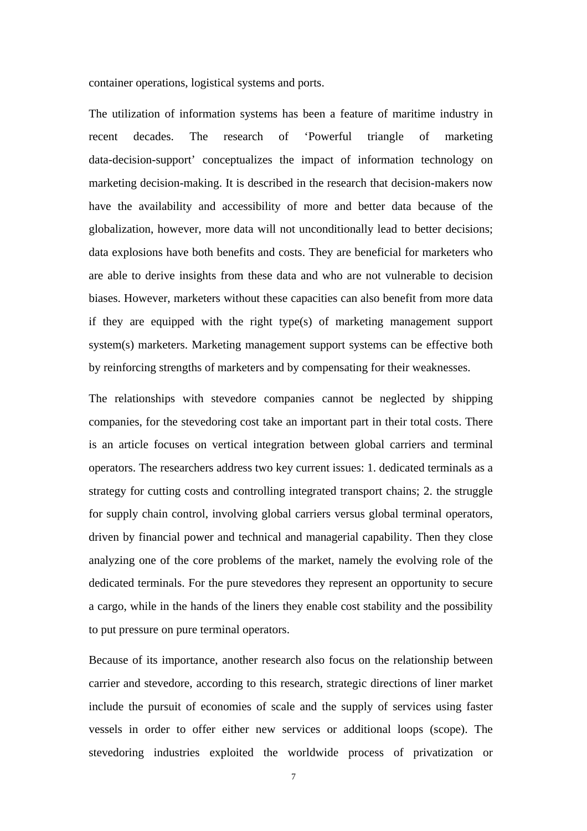container operations, logistical systems and ports.

The utilization of information systems has been a feature of maritime industry in recent decades. The research of 'Powerful triangle of marketing data-decision-support' conceptualizes the impact of information technology on marketing decision-making. It is described in the research that decision-makers now have the availability and accessibility of more and better data because of the globalization, however, more data will not unconditionally lead to better decisions; data explosions have both benefits and costs. They are beneficial for marketers who are able to derive insights from these data and who are not vulnerable to decision biases. However, marketers without these capacities can also benefit from more data if they are equipped with the right type(s) of marketing management support system(s) marketers. Marketing management support systems can be effective both by reinforcing strengths of marketers and by compensating for their weaknesses.

The relationships with stevedore companies cannot be neglected by shipping companies, for the stevedoring cost take an important part in their total costs. There is an article focuses on vertical integration between global carriers and terminal operators. The researchers address two key current issues: 1. dedicated terminals as a strategy for cutting costs and controlling integrated transport chains; 2. the struggle for supply chain control, involving global carriers versus global terminal operators, driven by financial power and technical and managerial capability. Then they close analyzing one of the core problems of the market, namely the evolving role of the dedicated terminals. For the pure stevedores they represent an opportunity to secure a cargo, while in the hands of the liners they enable cost stability and the possibility to put pressure on pure terminal operators.

Because of its importance, another research also focus on the relationship between carrier and stevedore, according to this research, strategic directions of liner market include the pursuit of economies of scale and the supply of services using faster vessels in order to offer either new services or additional loops (scope). The stevedoring industries exploited the worldwide process of privatization or

7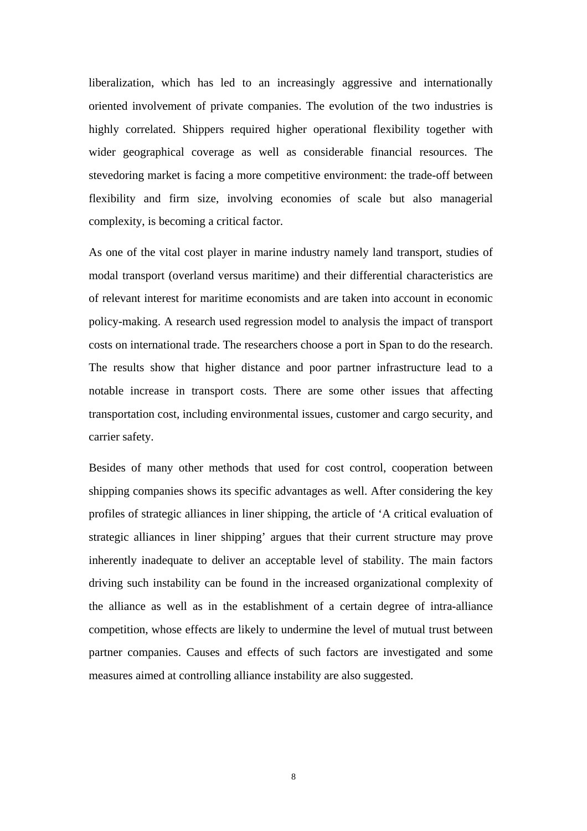liberalization, which has led to an increasingly aggressive and internationally oriented involvement of private companies. The evolution of the two industries is highly correlated. Shippers required higher operational flexibility together with wider geographical coverage as well as considerable financial resources. The stevedoring market is facing a more competitive environment: the trade-off between flexibility and firm size, involving economies of scale but also managerial complexity, is becoming a critical factor.

As one of the vital cost player in marine industry namely land transport, studies of modal transport (overland versus maritime) and their differential characteristics are of relevant interest for maritime economists and are taken into account in economic policy-making. A research used regression model to analysis the impact of transport costs on international trade. The researchers choose a port in Span to do the research. The results show that higher distance and poor partner infrastructure lead to a notable increase in transport costs. There are some other issues that affecting transportation cost, including environmental issues, customer and cargo security, and carrier safety.

Besides of many other methods that used for cost control, cooperation between shipping companies shows its specific advantages as well. After considering the key profiles of strategic alliances in liner shipping, the article of 'A critical evaluation of strategic alliances in liner shipping' argues that their current structure may prove inherently inadequate to deliver an acceptable level of stability. The main factors driving such instability can be found in the increased organizational complexity of the alliance as well as in the establishment of a certain degree of intra-alliance competition, whose effects are likely to undermine the level of mutual trust between partner companies. Causes and effects of such factors are investigated and some measures aimed at controlling alliance instability are also suggested.

8 and 2012 and 2013 and 2014 and 2014 and 2014 and 2014 and 2014 and 2014 and 2014 and 2014 and 2014 and 2014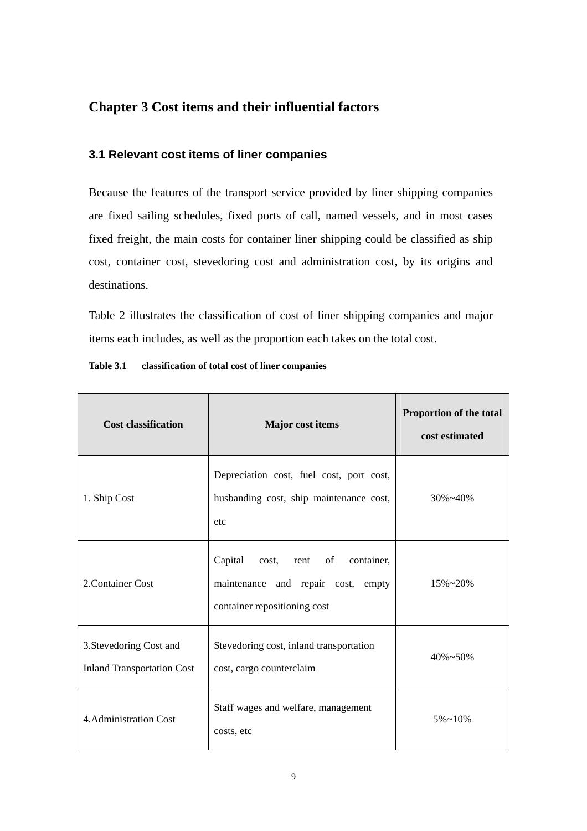### **Chapter 3 Cost items and their influential factors**

#### **3.1 Relevant cost items of liner companies**

Because the features of the transport service provided by liner shipping companies are fixed sailing schedules, fixed ports of call, named vessels, and in most cases fixed freight, the main costs for container liner shipping could be classified as ship cost, container cost, stevedoring cost and administration cost, by its origins and destinations.

Table 2 illustrates the classification of cost of liner shipping companies and major items each includes, as well as the proportion each takes on the total cost.

| <b>Cost classification</b>                                   | Major cost items                                                                                          | Proportion of the total<br>cost estimated |
|--------------------------------------------------------------|-----------------------------------------------------------------------------------------------------------|-------------------------------------------|
| 1. Ship Cost                                                 | Depreciation cost, fuel cost, port cost,<br>husbanding cost, ship maintenance cost,<br>etc                | $30\% - 40\%$                             |
| 2. Container Cost                                            | Capital cost, rent of<br>container,<br>maintenance and repair cost, empty<br>container repositioning cost | $15\% - 20\%$                             |
| 3. Stevedoring Cost and<br><b>Inland Transportation Cost</b> | Stevedoring cost, inland transportation<br>cost, cargo counterclaim                                       | $40\% - 50\%$                             |
| 4. Administration Cost                                       | Staff wages and welfare, management<br>costs, etc                                                         | $5\% \sim 10\%$                           |

#### **Table 3.1 classification of total cost of liner companies**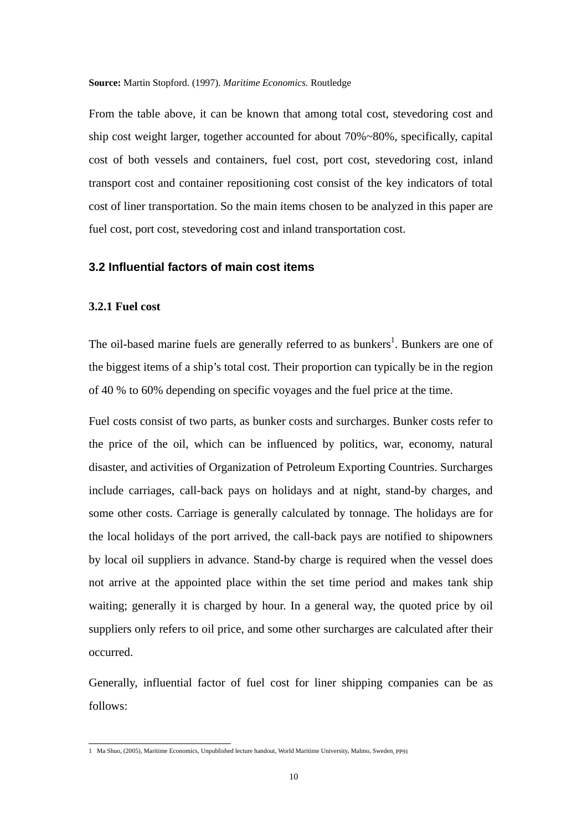From the table above, it can be known that among total cost, stevedoring cost and ship cost weight larger, together accounted for about 70%~80%, specifically, capital cost of both vessels and containers, fuel cost, port cost, stevedoring cost, inland transport cost and container repositioning cost consist of the key indicators of total cost of liner transportation. So the main items chosen to be analyzed in this paper are fuel cost, port cost, stevedoring cost and inland transportation cost.

#### **3.2 Influential factors of main cost items**

#### **3.2.1 Fuel cost**

The oil-based marine fuels are generally referred to as bunkers<sup>1</sup>. Bunkers are one of the biggest items of a ship's total cost. Their proportion can typically be in the region of 40 % to 60% depending on specific voyages and the fuel price at the time.

Fuel costs consist of two parts, as bunker costs and surcharges. Bunker costs refer to the price of the oil, which can be influenced by politics, war, economy, natural disaster, and activities of Organization of Petroleum Exporting Countries. Surcharges include carriages, call-back pays on holidays and at night, stand-by charges, and some other costs. Carriage is generally calculated by tonnage. The holidays are for the local holidays of the port arrived, the call-back pays are notified to shipowners by local oil suppliers in advance. Stand-by charge is required when the vessel does not arrive at the appointed place within the set time period and makes tank ship waiting; generally it is charged by hour. In a general way, the quoted price by oil suppliers only refers to oil price, and some other surcharges are calculated after their occurred.

Generally, influential factor of fuel cost for liner shipping companies can be as follows:

 1 Ma Shuo, (2005), Maritime Economics, Unpublished lecture handout, World Maritime University, Malmo, Sweden, PP91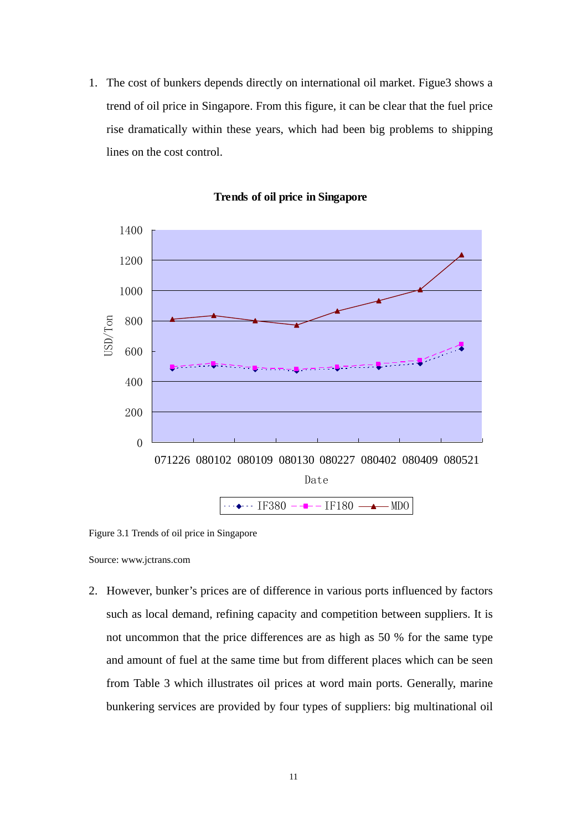1. The cost of bunkers depends directly on international oil market. Figue3 shows a trend of oil price in Singapore. From this figure, it can be clear that the fuel price rise dramatically within these years, which had been big problems to shipping lines on the cost control.



**Trends of oil price in Singapore**

Figure 3.1 Trends of oil price in Singapore

Source: www.jctrans.com

2. However, bunker's prices are of difference in various ports influenced by factors such as local demand, refining capacity and competition between suppliers. It is not uncommon that the price differences are as high as 50 % for the same type and amount of fuel at the same time but from different places which can be seen from Table 3 which illustrates oil prices at word main ports. Generally, marine bunkering services are provided by four types of suppliers: big multinational oil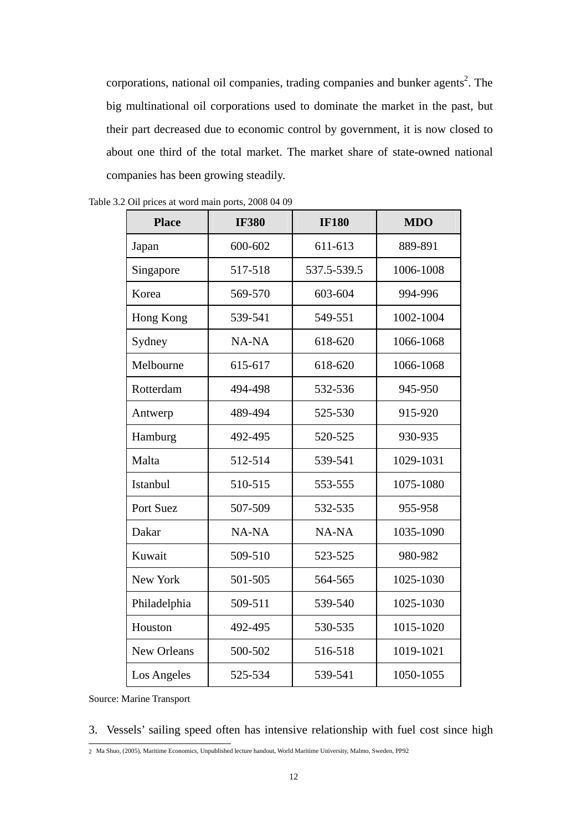corporations, national oil companies, trading companies and bunker agents<sup>2</sup>. The big multinational oil corporations used to dominate the market in the past, but their part decreased due to economic control by government, it is now closed to about one third of the total market. The market share of state-owned national companies has been growing steadily.

| <b>Place</b> | <b>IF380</b> | <b>IF180</b> | <b>MDO</b> |
|--------------|--------------|--------------|------------|
| Japan        | 600-602      | 611-613      | 889-891    |
| Singapore    | 517-518      | 537.5-539.5  | 1006-1008  |
| Korea        | 569-570      | 603-604      | 994-996    |
| Hong Kong    | 539-541      | 549-551      | 1002-1004  |
| Sydney       | NA-NA        | 618-620      | 1066-1068  |
| Melbourne    | 615-617      | 618-620      | 1066-1068  |
| Rotterdam    | 494-498      | 532-536      | 945-950    |
| Antwerp      | 489-494      | 525-530      | 915-920    |
| Hamburg      | 492-495      | 520-525      | 930-935    |
| Malta        | 512-514      | 539-541      | 1029-1031  |
| Istanbul     | 510-515      | 553-555      | 1075-1080  |
| Port Suez    | 507-509      | 532-535      | 955-958    |
| Dakar        | NA-NA        | NA-NA        | 1035-1090  |
| Kuwait       | 509-510      | 523-525      | 980-982    |
| New York     | 501-505      | 564-565      | 1025-1030  |
| Philadelphia | 509-511      | 539-540      | 1025-1030  |
| Houston      | 492-495      | 530-535      | 1015-1020  |
| New Orleans  | 500-502      | 516-518      | 1019-1021  |
| Los Angeles  | 525-534      | 539-541      | 1050-1055  |

Table 3.2 Oil prices at word main ports, 2008 04 09

Source: Marine Transport

3. Vessels' sailing speed often has intensive relationship with fuel cost since high

 2 Ma Shuo, (2005), Maritime Economics, Unpublished lecture handout, World Maritime University, Malmo, Sweden, PP92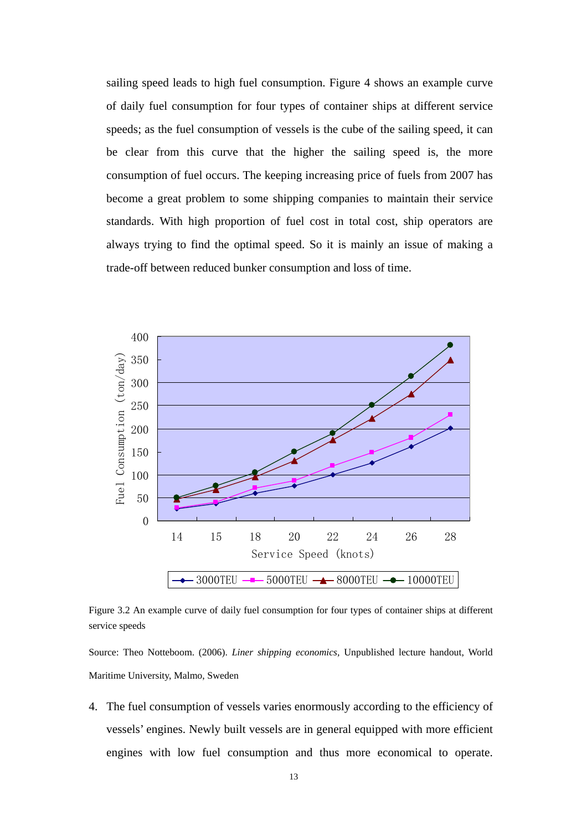sailing speed leads to high fuel consumption. Figure 4 shows an example curve of daily fuel consumption for four types of container ships at different service speeds; as the fuel consumption of vessels is the cube of the sailing speed, it can be clear from this curve that the higher the sailing speed is, the more consumption of fuel occurs. The keeping increasing price of fuels from 2007 has become a great problem to some shipping companies to maintain their service standards. With high proportion of fuel cost in total cost, ship operators are always trying to find the optimal speed. So it is mainly an issue of making a trade-off between reduced bunker consumption and loss of time.



Figure 3.2 An example curve of daily fuel consumption for four types of container ships at different service speeds

Source: Theo Notteboom. (2006). *Liner shipping economics,* Unpublished lecture handout, World Maritime University, Malmo, Sweden

4. The fuel consumption of vessels varies enormously according to the efficiency of vessels' engines. Newly built vessels are in general equipped with more efficient engines with low fuel consumption and thus more economical to operate.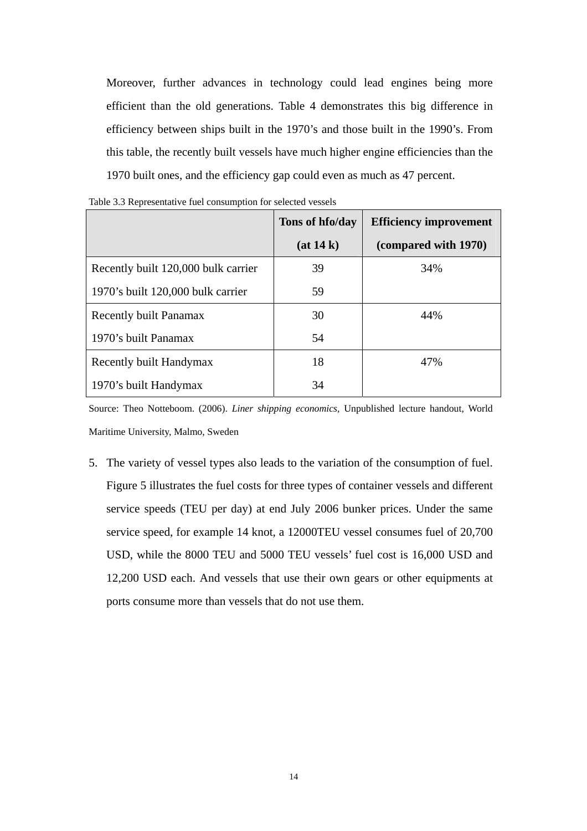Moreover, further advances in technology could lead engines being more efficient than the old generations. Table 4 demonstrates this big difference in efficiency between ships built in the 1970's and those built in the 1990's. From this table, the recently built vessels have much higher engine efficiencies than the 1970 built ones, and the efficiency gap could even as much as 47 percent.

|                                     | Tons of hfo/day | <b>Efficiency improvement</b> |
|-------------------------------------|-----------------|-------------------------------|
|                                     | (at 14 k)       | (compared with 1970)          |
| Recently built 120,000 bulk carrier | 39              | 34%                           |
| 1970's built 120,000 bulk carrier   | 59              |                               |
| <b>Recently built Panamax</b>       | 30              | 44%                           |
| 1970's built Panamax                | 54              |                               |
| Recently built Handymax             | 18              | 47%                           |
| 1970's built Handymax               | 34              |                               |

Table 3.3 Representative fuel consumption for selected vessels

Source: Theo Notteboom. (2006). *Liner shipping economics,* Unpublished lecture handout, World Maritime University, Malmo, Sweden

5. The variety of vessel types also leads to the variation of the consumption of fuel. Figure 5 illustrates the fuel costs for three types of container vessels and different service speeds (TEU per day) at end July 2006 bunker prices. Under the same service speed, for example 14 knot, a 12000TEU vessel consumes fuel of 20,700 USD, while the 8000 TEU and 5000 TEU vessels' fuel cost is 16,000 USD and 12,200 USD each. And vessels that use their own gears or other equipments at ports consume more than vessels that do not use them.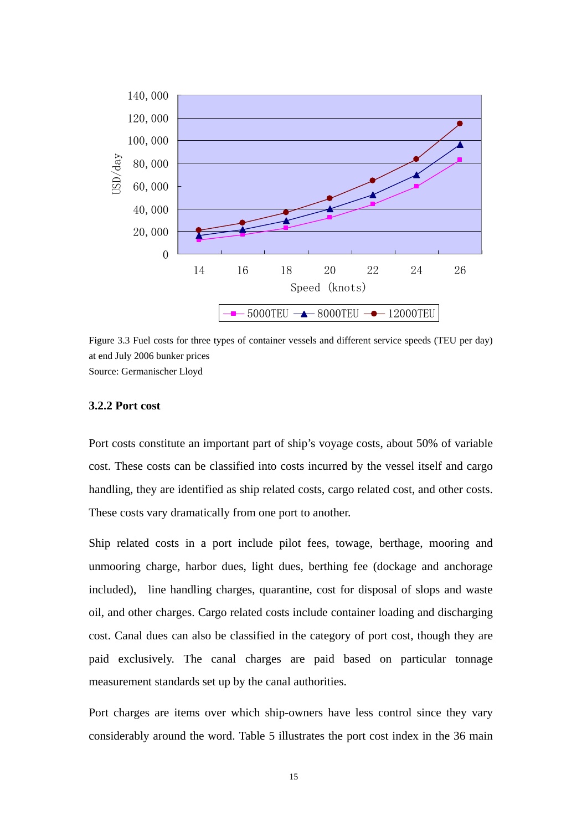

Figure 3.3 Fuel costs for three types of container vessels and different service speeds (TEU per day) at end July 2006 bunker prices Source: Germanischer Lloyd

#### **3.2.2 Port cost**

Port costs constitute an important part of ship's voyage costs, about 50% of variable cost. These costs can be classified into costs incurred by the vessel itself and cargo handling, they are identified as ship related costs, cargo related cost, and other costs. These costs vary dramatically from one port to another.

Ship related costs in a port include pilot fees, towage, berthage, mooring and unmooring charge, harbor dues, light dues, berthing fee (dockage and anchorage included), line handling charges, quarantine, cost for disposal of slops and waste oil, and other charges. Cargo related costs include container loading and discharging cost. Canal dues can also be classified in the category of port cost, though they are paid exclusively. The canal charges are paid based on particular tonnage measurement standards set up by the canal authorities.

Port charges are items over which ship-owners have less control since they vary considerably around the word. Table 5 illustrates the port cost index in the 36 main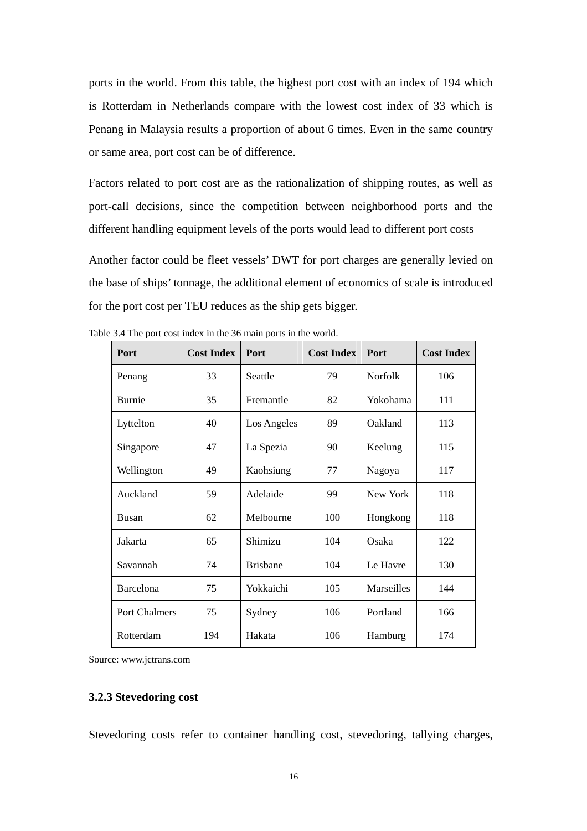ports in the world. From this table, the highest port cost with an index of 194 which is Rotterdam in Netherlands compare with the lowest cost index of 33 which is Penang in Malaysia results a proportion of about 6 times. Even in the same country or same area, port cost can be of difference.

Factors related to port cost are as the rationalization of shipping routes, as well as port-call decisions, since the competition between neighborhood ports and the different handling equipment levels of the ports would lead to different port costs

Another factor could be fleet vessels' DWT for port charges are generally levied on the base of ships' tonnage, the additional element of economics of scale is introduced for the port cost per TEU reduces as the ship gets bigger.

| Port          | <b>Cost Index</b> | Port            | <b>Cost Index</b> | Port       | <b>Cost Index</b> |
|---------------|-------------------|-----------------|-------------------|------------|-------------------|
| Penang        | 33                | Seattle         | 79                | Norfolk    | 106               |
| <b>Burnie</b> | 35                | Fremantle       | 82                | Yokohama   | 111               |
| Lyttelton     | 40                | Los Angeles     | 89                | Oakland    | 113               |
| Singapore     | 47                | La Spezia       | 90                | Keelung    | 115               |
| Wellington    | 49                | Kaohsiung       | 77                | Nagoya     | 117               |
| Auckland      | 59                | Adelaide        | 99                | New York   | 118               |
| <b>Busan</b>  | 62                | Melbourne       | 100               | Hongkong   | 118               |
| Jakarta       | 65                | Shimizu         | 104               | Osaka      | 122               |
| Savannah      | 74                | <b>Brisbane</b> | 104               | Le Havre   | 130               |
| Barcelona     | 75                | Yokkaichi       | 105               | Marseilles | 144               |
| Port Chalmers | 75                | Sydney          | 106               | Portland   | 166               |
| Rotterdam     | 194               | Hakata          | 106               | Hamburg    | 174               |

Table 3.4 The port cost index in the 36 main ports in the world.

Source: www.jctrans.com

#### **3.2.3 Stevedoring cost**

Stevedoring costs refer to container handling cost, stevedoring, tallying charges,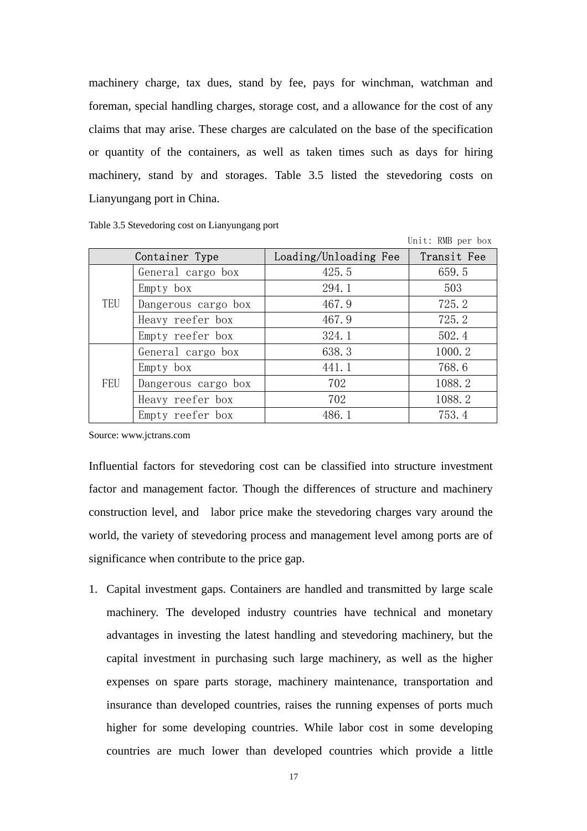machinery charge, tax dues, stand by fee, pays for winchman, watchman and foreman, special handling charges, storage cost, and a allowance for the cost of any claims that may arise. These charges are calculated on the base of the specification or quantity of the containers, as well as taken times such as days for hiring machinery, stand by and storages. Table 3.5 listed the stevedoring costs on Lianyungang port in China.

| Table 3.5 Stevedoring cost on Lianyungang port |  |  |  |  |  |
|------------------------------------------------|--|--|--|--|--|
|------------------------------------------------|--|--|--|--|--|

|     |                     |                       | UNIL: KMD Der DOX |
|-----|---------------------|-----------------------|-------------------|
|     | Container Type      | Loading/Unloading Fee | Transit Fee       |
|     | General cargo box   | 425.5                 | 659.5             |
|     | Empty box           | 294.1                 | 503               |
| TEU | Dangerous cargo box | 467.9                 | 725.2             |
|     | Heavy reefer box    | 467.9                 | 725.2             |
|     | Empty reefer box    | 324.1                 | 502.4             |
|     | General cargo box   | 638.3                 | 1000.2            |
|     | Empty box           | 441.1                 | 768.6             |
| FEU | Dangerous cargo box | 702                   | 1088.2            |
|     | Heavy reefer box    | 702                   | 1088.2            |
|     | Empty reefer box    | 486.1                 | 753.4             |

 $U$  is  $\mathbf{D} \mathbf{D}$  in  $\mathbf{D} \mathbf{D}$  in  $\mathbf{D} \mathbf{D}$  in  $\mathbf{D} \mathbf{D}$  in  $\mathbf{D} \mathbf{D}$  in  $\mathbf{D} \mathbf{D}$  in  $\mathbf{D} \mathbf{D}$  in  $\mathbf{D} \mathbf{D}$  in  $\mathbf{D} \mathbf{D}$  in  $\mathbf{D} \mathbf{D}$  in  $\mathbf{D} \mathbf{D}$  in  $\mathbf{D} \mathbf{D}$  i

Source: www.jctrans.com

Influential factors for stevedoring cost can be classified into structure investment factor and management factor. Though the differences of structure and machinery construction level, and labor price make the stevedoring charges vary around the world, the variety of stevedoring process and management level among ports are of significance when contribute to the price gap.

1. Capital investment gaps. Containers are handled and transmitted by large scale machinery. The developed industry countries have technical and monetary advantages in investing the latest handling and stevedoring machinery, but the capital investment in purchasing such large machinery, as well as the higher expenses on spare parts storage, machinery maintenance, transportation and insurance than developed countries, raises the running expenses of ports much higher for some developing countries. While labor cost in some developing countries are much lower than developed countries which provide a little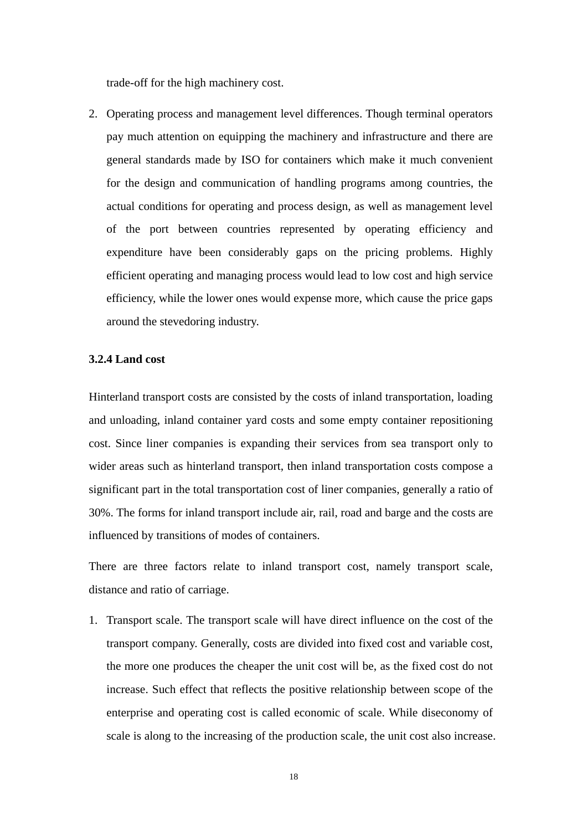trade-off for the high machinery cost.

2. Operating process and management level differences. Though terminal operators pay much attention on equipping the machinery and infrastructure and there are general standards made by ISO for containers which make it much convenient for the design and communication of handling programs among countries, the actual conditions for operating and process design, as well as management level of the port between countries represented by operating efficiency and expenditure have been considerably gaps on the pricing problems. Highly efficient operating and managing process would lead to low cost and high service efficiency, while the lower ones would expense more, which cause the price gaps around the stevedoring industry.

#### **3.2.4 Land cost**

Hinterland transport costs are consisted by the costs of inland transportation, loading and unloading, inland container yard costs and some empty container repositioning cost. Since liner companies is expanding their services from sea transport only to wider areas such as hinterland transport, then inland transportation costs compose a significant part in the total transportation cost of liner companies, generally a ratio of 30%. The forms for inland transport include air, rail, road and barge and the costs are influenced by transitions of modes of containers.

There are three factors relate to inland transport cost, namely transport scale, distance and ratio of carriage.

1. Transport scale. The transport scale will have direct influence on the cost of the transport company. Generally, costs are divided into fixed cost and variable cost, the more one produces the cheaper the unit cost will be, as the fixed cost do not increase. Such effect that reflects the positive relationship between scope of the enterprise and operating cost is called economic of scale. While diseconomy of scale is along to the increasing of the production scale, the unit cost also increase.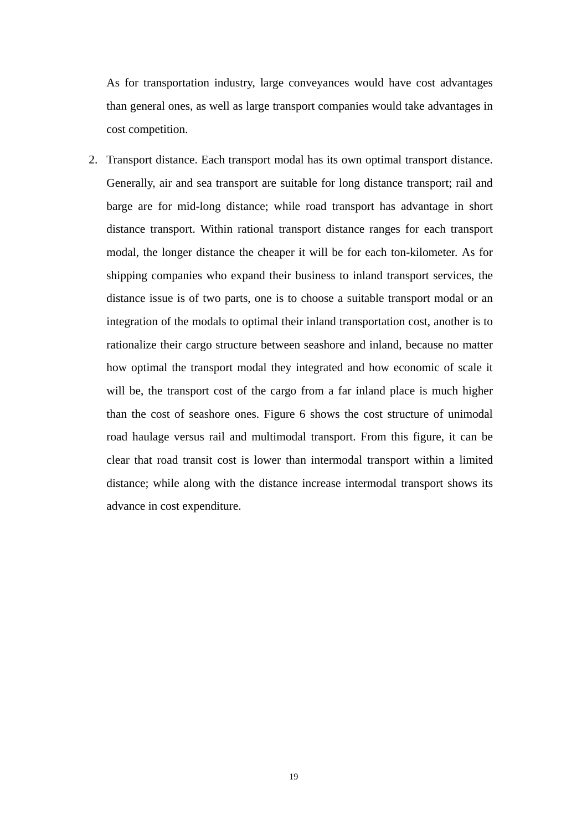As for transportation industry, large conveyances would have cost advantages than general ones, as well as large transport companies would take advantages in cost competition.

2. Transport distance. Each transport modal has its own optimal transport distance. Generally, air and sea transport are suitable for long distance transport; rail and barge are for mid-long distance; while road transport has advantage in short distance transport. Within rational transport distance ranges for each transport modal, the longer distance the cheaper it will be for each ton-kilometer. As for shipping companies who expand their business to inland transport services, the distance issue is of two parts, one is to choose a suitable transport modal or an integration of the modals to optimal their inland transportation cost, another is to rationalize their cargo structure between seashore and inland, because no matter how optimal the transport modal they integrated and how economic of scale it will be, the transport cost of the cargo from a far inland place is much higher than the cost of seashore ones. Figure 6 shows the cost structure of unimodal road haulage versus rail and multimodal transport. From this figure, it can be clear that road transit cost is lower than intermodal transport within a limited distance; while along with the distance increase intermodal transport shows its advance in cost expenditure.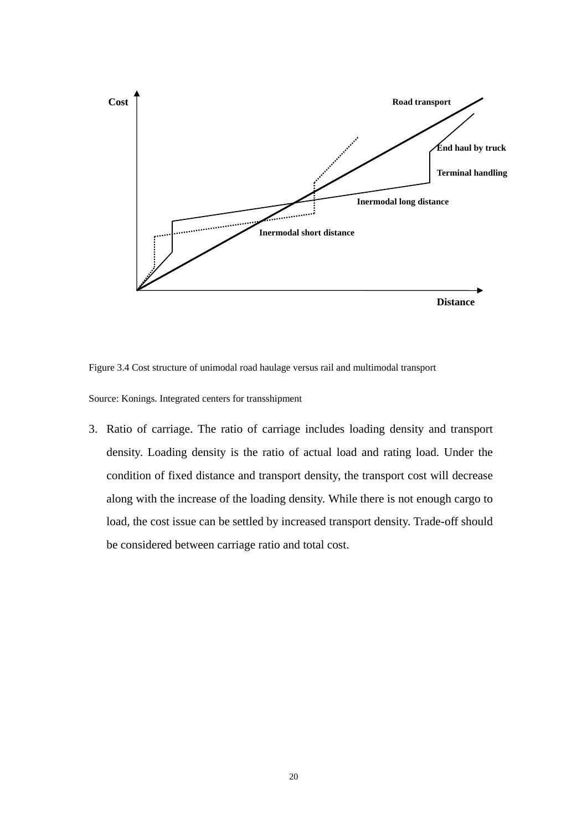

Figure 3.4 Cost structure of unimodal road haulage versus rail and multimodal transport

Source: Konings. Integrated centers for transshipment

3. Ratio of carriage. The ratio of carriage includes loading density and transport density. Loading density is the ratio of actual load and rating load. Under the condition of fixed distance and transport density, the transport cost will decrease along with the increase of the loading density. While there is not enough cargo to load, the cost issue can be settled by increased transport density. Trade-off should be considered between carriage ratio and total cost.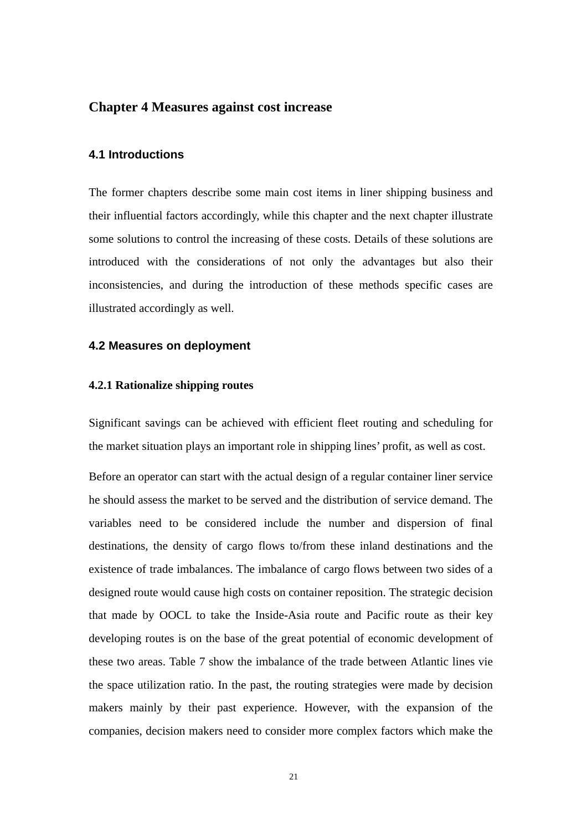#### **Chapter 4 Measures against cost increase**

#### **4.1 Introductions**

The former chapters describe some main cost items in liner shipping business and their influential factors accordingly, while this chapter and the next chapter illustrate some solutions to control the increasing of these costs. Details of these solutions are introduced with the considerations of not only the advantages but also their inconsistencies, and during the introduction of these methods specific cases are illustrated accordingly as well.

#### **4.2 Measures on deployment**

#### **4.2.1 Rationalize shipping routes**

Significant savings can be achieved with efficient fleet routing and scheduling for the market situation plays an important role in shipping lines' profit, as well as cost.

Before an operator can start with the actual design of a regular container liner service he should assess the market to be served and the distribution of service demand. The variables need to be considered include the number and dispersion of final destinations, the density of cargo flows to/from these inland destinations and the existence of trade imbalances. The imbalance of cargo flows between two sides of a designed route would cause high costs on container reposition. The strategic decision that made by OOCL to take the Inside-Asia route and Pacific route as their key developing routes is on the base of the great potential of economic development of these two areas. Table 7 show the imbalance of the trade between Atlantic lines vie the space utilization ratio. In the past, the routing strategies were made by decision makers mainly by their past experience. However, with the expansion of the companies, decision makers need to consider more complex factors which make the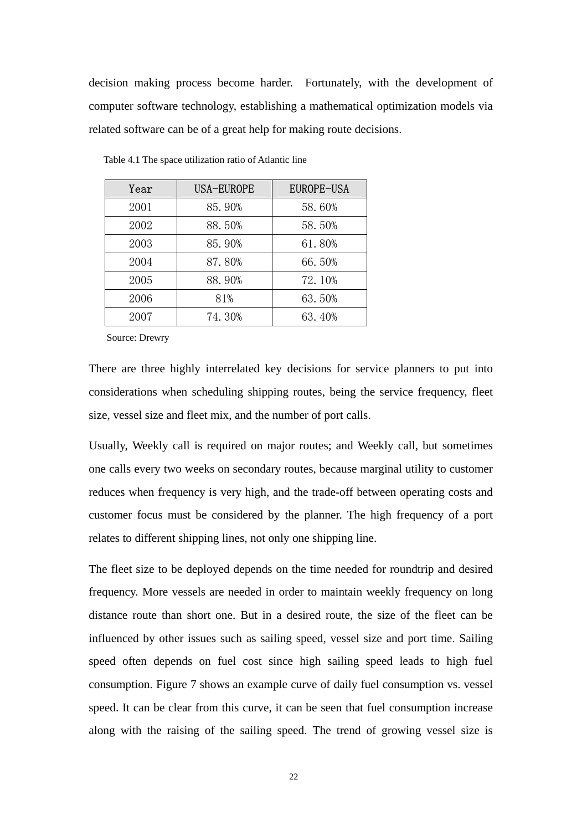decision making process become harder. Fortunately, with the development of computer software technology, establishing a mathematical optimization models via related software can be of a great help for making route decisions.

| Year | <b>USA-EUROPE</b> | <b>EUROPE-USA</b> |
|------|-------------------|-------------------|
| 2001 | 85.90%            | 58.60%            |
| 2002 | 88.50%            | 58.50%            |
| 2003 | 85.90%            | 61.80%            |
| 2004 | 87.80%            | 66.50%            |
| 2005 | 88.90%            | 72.10%            |
| 2006 | 81%               | 63.50%            |
| 2007 | 74.30%            | 63.40%            |

Table 4.1 The space utilization ratio of Atlantic line

Source: Drewry

There are three highly interrelated key decisions for service planners to put into considerations when scheduling shipping routes, being the service frequency, fleet size, vessel size and fleet mix, and the number of port calls.

Usually, Weekly call is required on major routes; and Weekly call, but sometimes one calls every two weeks on secondary routes, because marginal utility to customer reduces when frequency is very high, and the trade-off between operating costs and customer focus must be considered by the planner. The high frequency of a port relates to different shipping lines, not only one shipping line.

The fleet size to be deployed depends on the time needed for roundtrip and desired frequency. More vessels are needed in order to maintain weekly frequency on long distance route than short one. But in a desired route, the size of the fleet can be influenced by other issues such as sailing speed, vessel size and port time. Sailing speed often depends on fuel cost since high sailing speed leads to high fuel consumption. Figure 7 shows an example curve of daily fuel consumption vs. vessel speed. It can be clear from this curve, it can be seen that fuel consumption increase along with the raising of the sailing speed. The trend of growing vessel size is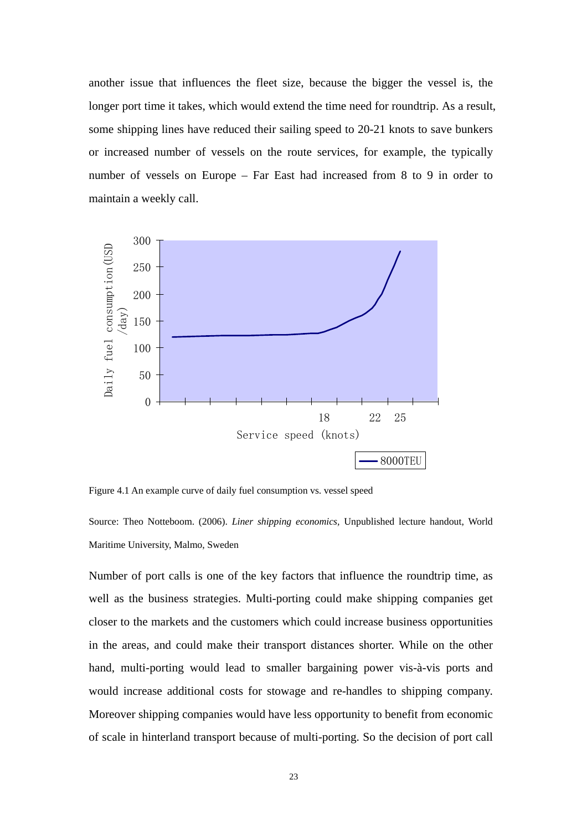another issue that influences the fleet size, because the bigger the vessel is, the longer port time it takes, which would extend the time need for roundtrip. As a result, some shipping lines have reduced their sailing speed to 20-21 knots to save bunkers or increased number of vessels on the route services, for example, the typically number of vessels on Europe – Far East had increased from 8 to 9 in order to maintain a weekly call.



Figure 4.1 An example curve of daily fuel consumption vs. vessel speed

Source: Theo Notteboom. (2006). *Liner shipping economics,* Unpublished lecture handout, World Maritime University, Malmo, Sweden

Number of port calls is one of the key factors that influence the roundtrip time, as well as the business strategies. Multi-porting could make shipping companies get closer to the markets and the customers which could increase business opportunities in the areas, and could make their transport distances shorter. While on the other hand, multi-porting would lead to smaller bargaining power vis-à-vis ports and would increase additional costs for stowage and re-handles to shipping company. Moreover shipping companies would have less opportunity to benefit from economic of scale in hinterland transport because of multi-porting. So the decision of port call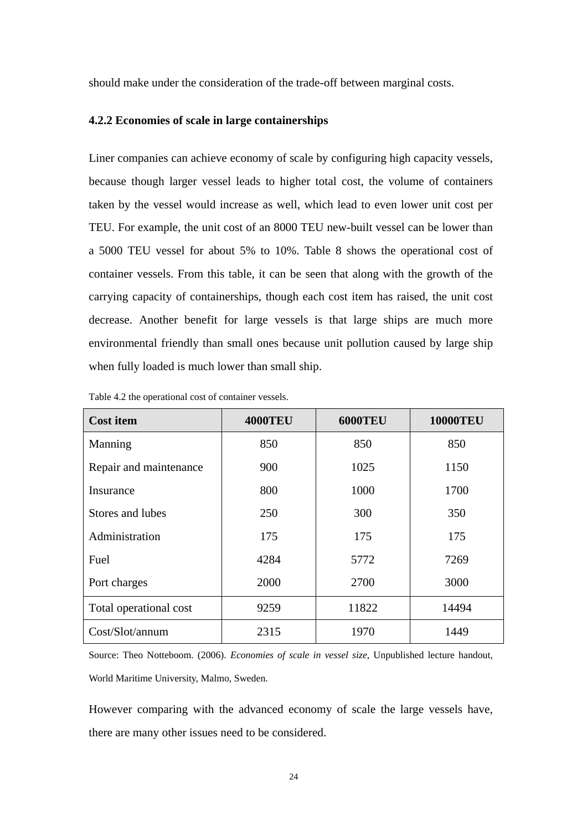should make under the consideration of the trade-off between marginal costs.

#### **4.2.2 Economies of scale in large containerships**

Liner companies can achieve economy of scale by configuring high capacity vessels, because though larger vessel leads to higher total cost, the volume of containers taken by the vessel would increase as well, which lead to even lower unit cost per TEU. For example, the unit cost of an 8000 TEU new-built vessel can be lower than a 5000 TEU vessel for about 5% to 10%. Table 8 shows the operational cost of container vessels. From this table, it can be seen that along with the growth of the carrying capacity of containerships, though each cost item has raised, the unit cost decrease. Another benefit for large vessels is that large ships are much more environmental friendly than small ones because unit pollution caused by large ship when fully loaded is much lower than small ship.

| <b>Cost item</b>       | <b>4000TEU</b> | <b>6000TEU</b> | <b>10000TEU</b> |
|------------------------|----------------|----------------|-----------------|
| Manning                | 850            | 850            | 850             |
| Repair and maintenance | 900            | 1025           | 1150            |
| Insurance              | 800            | 1000           | 1700            |
| Stores and lubes       | 250            | 300            | 350             |
| Administration         | 175            | 175            | 175             |
| Fuel                   | 4284           | 5772           | 7269            |
| Port charges           | 2000           | 2700           | 3000            |
| Total operational cost | 9259           | 11822          | 14494           |
| Cost/Slot/annum        | 2315           | 1970           | 1449            |

Table 4.2 the operational cost of container vessels.

Source: Theo Notteboom. (2006). *Economies of scale in vessel size*, Unpublished lecture handout, World Maritime University, Malmo, Sweden.

However comparing with the advanced economy of scale the large vessels have, there are many other issues need to be considered.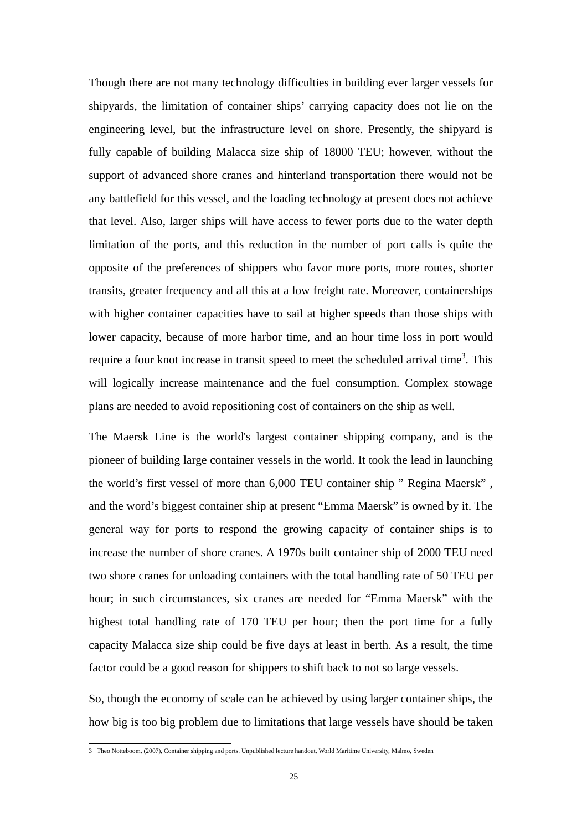Though there are not many technology difficulties in building ever larger vessels for shipyards, the limitation of container ships' carrying capacity does not lie on the engineering level, but the infrastructure level on shore. Presently, the shipyard is fully capable of building Malacca size ship of 18000 TEU; however, without the support of advanced shore cranes and hinterland transportation there would not be any battlefield for this vessel, and the loading technology at present does not achieve that level. Also, larger ships will have access to fewer ports due to the water depth limitation of the ports, and this reduction in the number of port calls is quite the opposite of the preferences of shippers who favor more ports, more routes, shorter transits, greater frequency and all this at a low freight rate. Moreover, containerships with higher container capacities have to sail at higher speeds than those ships with lower capacity, because of more harbor time, and an hour time loss in port would require a four knot increase in transit speed to meet the scheduled arrival time<sup>3</sup>. This will logically increase maintenance and the fuel consumption. Complex stowage plans are needed to avoid repositioning cost of containers on the ship as well.

The Maersk Line is the world's largest container shipping company, and is the pioneer of building large container vessels in the world. It took the lead in launching the world's first vessel of more than 6,000 TEU container ship " Regina Maersk" , and the word's biggest container ship at present "Emma Maersk" is owned by it. The general way for ports to respond the growing capacity of container ships is to increase the number of shore cranes. A 1970s built container ship of 2000 TEU need two shore cranes for unloading containers with the total handling rate of 50 TEU per hour; in such circumstances, six cranes are needed for "Emma Maersk" with the highest total handling rate of 170 TEU per hour; then the port time for a fully capacity Malacca size ship could be five days at least in berth. As a result, the time factor could be a good reason for shippers to shift back to not so large vessels.

So, though the economy of scale can be achieved by using larger container ships, the how big is too big problem due to limitations that large vessels have should be taken

 3 Theo Notteboom, (2007), Container shipping and ports. Unpublished lecture handout, World Maritime University, Malmo, Sweden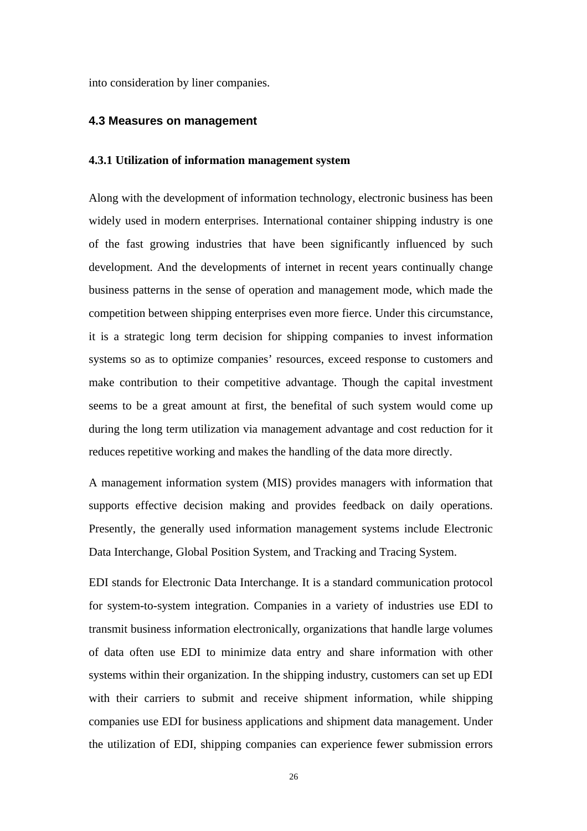into consideration by liner companies.

#### **4.3 Measures on management**

#### **4.3.1 Utilization of information management system**

Along with the development of information technology, electronic business has been widely used in modern enterprises. International container shipping industry is one of the fast growing industries that have been significantly influenced by such development. And the developments of internet in recent years continually change business patterns in the sense of operation and management mode, which made the competition between shipping enterprises even more fierce. Under this circumstance, it is a strategic long term decision for shipping companies to invest information systems so as to optimize companies' resources, exceed response to customers and make contribution to their competitive advantage. Though the capital investment seems to be a great amount at first, the benefital of such system would come up during the long term utilization via management advantage and cost reduction for it reduces repetitive working and makes the handling of the data more directly.

A management information system (MIS) provides managers with information that supports effective decision making and provides feedback on daily operations. Presently, the generally used information management systems include Electronic Data Interchange, Global Position System, and Tracking and Tracing System.

EDI stands for Electronic Data Interchange. It is a standard communication protocol for system-to-system integration. Companies in a variety of industries use EDI to transmit business information electronically, organizations that handle large volumes of data often use EDI to minimize data entry and share information with other systems within their organization. In the shipping industry, customers can set up EDI with their carriers to submit and receive shipment information, while shipping companies use EDI for business applications and shipment data management. Under the utilization of EDI, shipping companies can experience fewer submission errors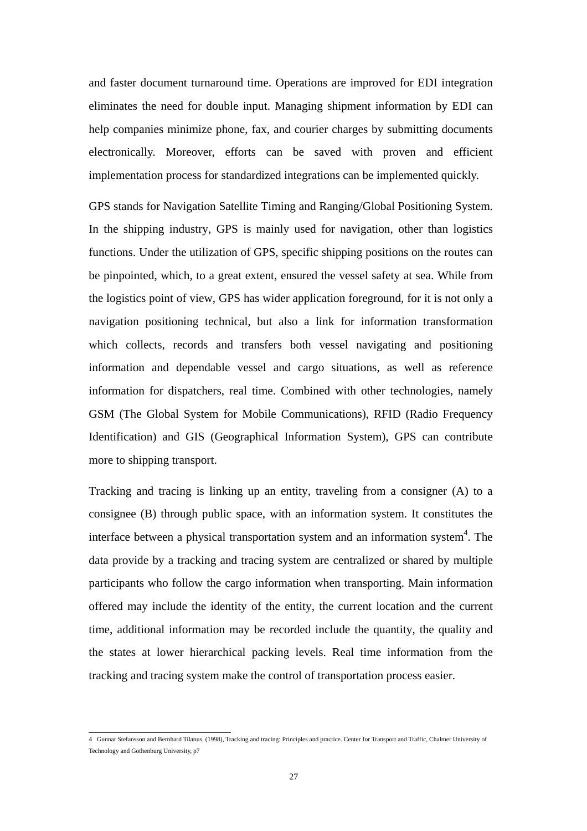and faster document turnaround time. Operations are improved for EDI integration eliminates the need for double input. Managing shipment information by EDI can help companies minimize phone, fax, and courier charges by submitting documents electronically. Moreover, efforts can be saved with proven and efficient implementation process for standardized integrations can be implemented quickly.

GPS stands for Navigation Satellite Timing and Ranging/Global Positioning System. In the shipping industry, GPS is mainly used for navigation, other than logistics functions. Under the utilization of GPS, specific shipping positions on the routes can be pinpointed, which, to a great extent, ensured the vessel safety at sea. While from the logistics point of view, GPS has wider application foreground, for it is not only a navigation positioning technical, but also a link for information transformation which collects, records and transfers both vessel navigating and positioning information and dependable vessel and cargo situations, as well as reference information for dispatchers, real time. Combined with other technologies, namely GSM (The Global System for Mobile Communications), RFID (Radio Frequency Identification) and GIS (Geographical Information System), GPS can contribute more to shipping transport.

Tracking and tracing is linking up an entity, traveling from a consigner (A) to a consignee (B) through public space, with an information system. It constitutes the interface between a physical transportation system and an information system<sup>4</sup>. The data provide by a tracking and tracing system are centralized or shared by multiple participants who follow the cargo information when transporting. Main information offered may include the identity of the entity, the current location and the current time, additional information may be recorded include the quantity, the quality and the states at lower hierarchical packing levels. Real time information from the tracking and tracing system make the control of transportation process easier.

 4 Gunnar Stefansson and Bernhard Tilanus, (1998), Tracking and tracing: Principles and practice. Center for Transport and Traffic, Chalmer University of Technology and Gothenburg University, p7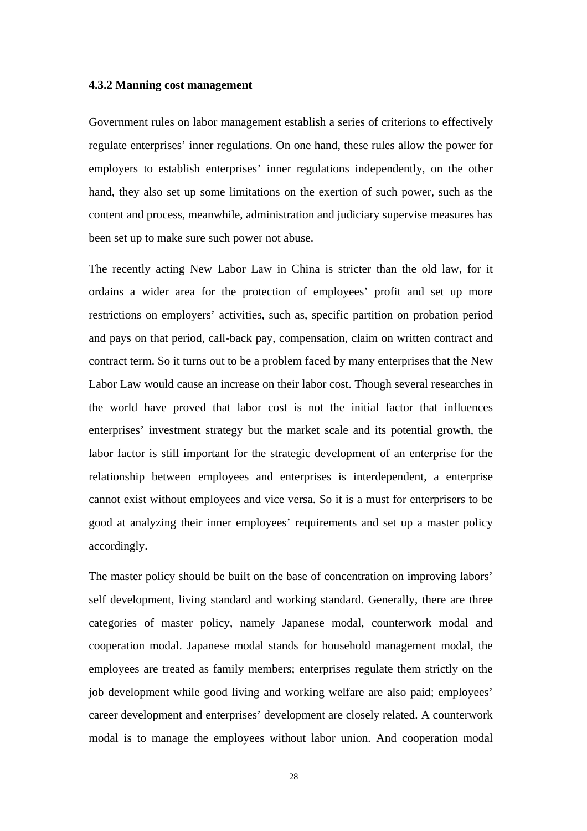#### **4.3.2 Manning cost management**

Government rules on labor management establish a series of criterions to effectively regulate enterprises' inner regulations. On one hand, these rules allow the power for employers to establish enterprises' inner regulations independently, on the other hand, they also set up some limitations on the exertion of such power, such as the content and process, meanwhile, administration and judiciary supervise measures has been set up to make sure such power not abuse.

The recently acting New Labor Law in China is stricter than the old law, for it ordains a wider area for the protection of employees' profit and set up more restrictions on employers' activities, such as, specific partition on probation period and pays on that period, call-back pay, compensation, claim on written contract and contract term. So it turns out to be a problem faced by many enterprises that the New Labor Law would cause an increase on their labor cost. Though several researches in the world have proved that labor cost is not the initial factor that influences enterprises' investment strategy but the market scale and its potential growth, the labor factor is still important for the strategic development of an enterprise for the relationship between employees and enterprises is interdependent, a enterprise cannot exist without employees and vice versa. So it is a must for enterprisers to be good at analyzing their inner employees' requirements and set up a master policy accordingly.

The master policy should be built on the base of concentration on improving labors' self development, living standard and working standard. Generally, there are three categories of master policy, namely Japanese modal, counterwork modal and cooperation modal. Japanese modal stands for household management modal, the employees are treated as family members; enterprises regulate them strictly on the job development while good living and working welfare are also paid; employees' career development and enterprises' development are closely related. A counterwork modal is to manage the employees without labor union. And cooperation modal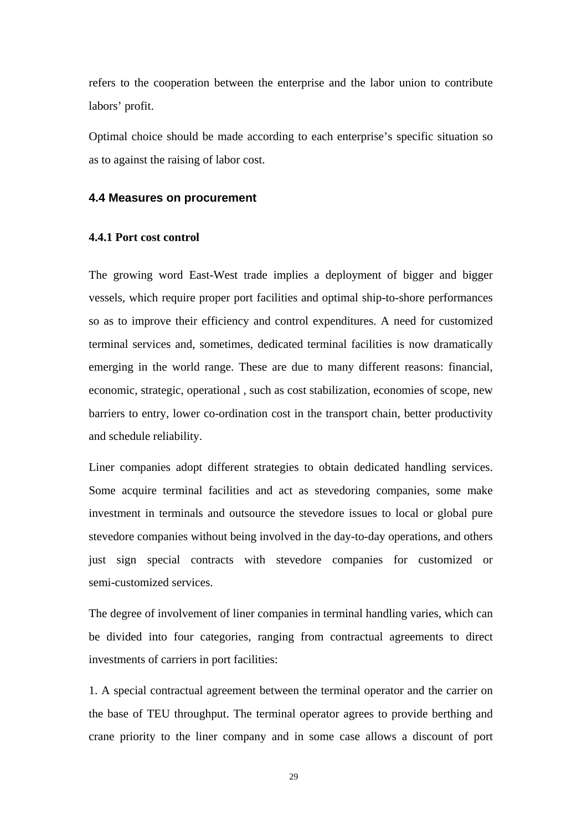refers to the cooperation between the enterprise and the labor union to contribute labors' profit.

Optimal choice should be made according to each enterprise's specific situation so as to against the raising of labor cost.

#### **4.4 Measures on procurement**

#### **4.4.1 Port cost control**

The growing word East-West trade implies a deployment of bigger and bigger vessels, which require proper port facilities and optimal ship-to-shore performances so as to improve their efficiency and control expenditures. A need for customized terminal services and, sometimes, dedicated terminal facilities is now dramatically emerging in the world range. These are due to many different reasons: financial, economic, strategic, operational , such as cost stabilization, economies of scope, new barriers to entry, lower co-ordination cost in the transport chain, better productivity and schedule reliability.

Liner companies adopt different strategies to obtain dedicated handling services. Some acquire terminal facilities and act as stevedoring companies, some make investment in terminals and outsource the stevedore issues to local or global pure stevedore companies without being involved in the day-to-day operations, and others just sign special contracts with stevedore companies for customized or semi-customized services.

The degree of involvement of liner companies in terminal handling varies, which can be divided into four categories, ranging from contractual agreements to direct investments of carriers in port facilities:

1. A special contractual agreement between the terminal operator and the carrier on the base of TEU throughput. The terminal operator agrees to provide berthing and crane priority to the liner company and in some case allows a discount of port

29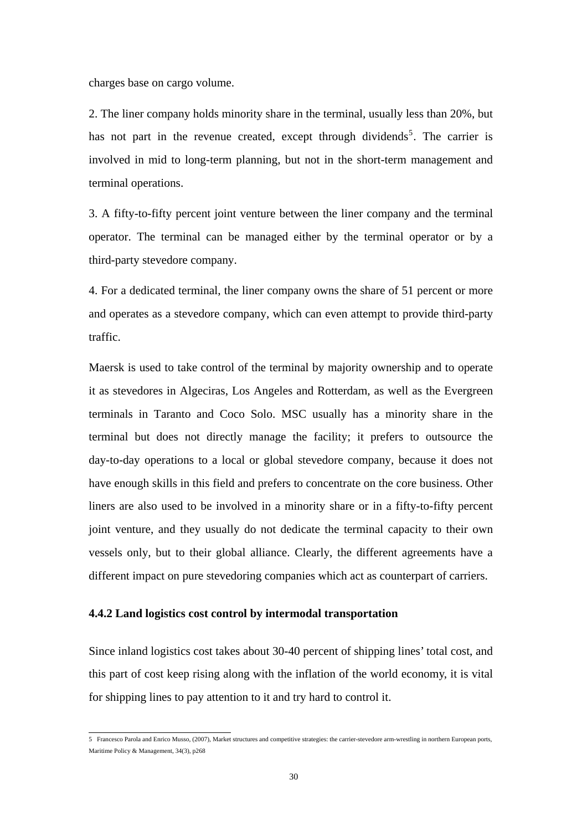charges base on cargo volume.

2. The liner company holds minority share in the terminal, usually less than 20%, but has not part in the revenue created, except through dividends<sup>5</sup>. The carrier is involved in mid to long-term planning, but not in the short-term management and terminal operations.

3. A fifty-to-fifty percent joint venture between the liner company and the terminal operator. The terminal can be managed either by the terminal operator or by a third-party stevedore company.

4. For a dedicated terminal, the liner company owns the share of 51 percent or more and operates as a stevedore company, which can even attempt to provide third-party traffic.

Maersk is used to take control of the terminal by majority ownership and to operate it as stevedores in Algeciras, Los Angeles and Rotterdam, as well as the Evergreen terminals in Taranto and Coco Solo. MSC usually has a minority share in the terminal but does not directly manage the facility; it prefers to outsource the day-to-day operations to a local or global stevedore company, because it does not have enough skills in this field and prefers to concentrate on the core business. Other liners are also used to be involved in a minority share or in a fifty-to-fifty percent joint venture, and they usually do not dedicate the terminal capacity to their own vessels only, but to their global alliance. Clearly, the different agreements have a different impact on pure stevedoring companies which act as counterpart of carriers.

#### **4.4.2 Land logistics cost control by intermodal transportation**

Since inland logistics cost takes about 30-40 percent of shipping lines' total cost, and this part of cost keep rising along with the inflation of the world economy, it is vital for shipping lines to pay attention to it and try hard to control it.

 5 Francesco Parola and Enrico Musso, (2007), Market structures and competitive strategies: the carrier-stevedore arm-wrestling in northern European ports, Maritime Policy & Management, 34(3), p268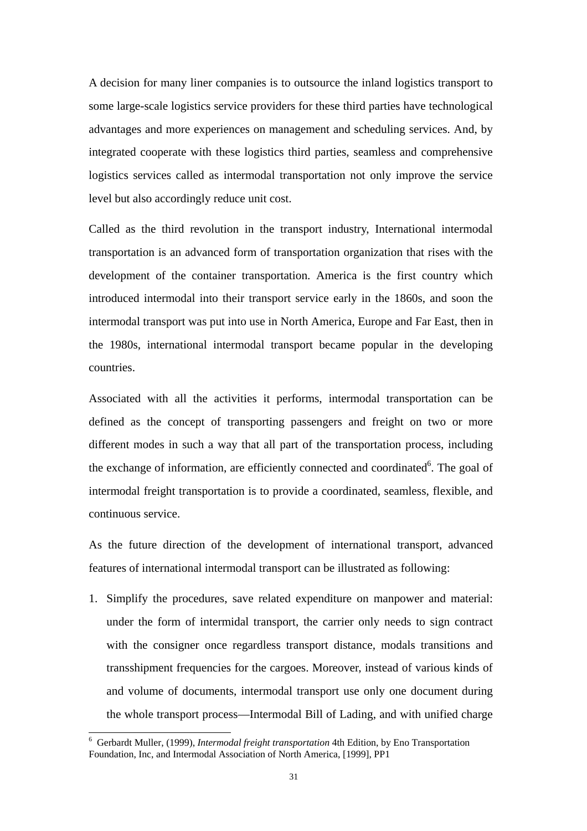A decision for many liner companies is to outsource the inland logistics transport to some large-scale logistics service providers for these third parties have technological advantages and more experiences on management and scheduling services. And, by integrated cooperate with these logistics third parties, seamless and comprehensive logistics services called as intermodal transportation not only improve the service level but also accordingly reduce unit cost.

Called as the third revolution in the transport industry, International intermodal transportation is an advanced form of transportation organization that rises with the development of the container transportation. America is the first country which introduced intermodal into their transport service early in the 1860s, and soon the intermodal transport was put into use in North America, Europe and Far East, then in the 1980s, international intermodal transport became popular in the developing countries.

Associated with all the activities it performs, intermodal transportation can be defined as the concept of transporting passengers and freight on two or more different modes in such a way that all part of the transportation process, including the exchange of information, are efficiently connected and coordinated<sup>6</sup>. The goal of intermodal freight transportation is to provide a coordinated, seamless, flexible, and continuous service.

As the future direction of the development of international transport, advanced features of international intermodal transport can be illustrated as following:

1. Simplify the procedures, save related expenditure on manpower and material: under the form of intermidal transport, the carrier only needs to sign contract with the consigner once regardless transport distance, modals transitions and transshipment frequencies for the cargoes. Moreover, instead of various kinds of and volume of documents, intermodal transport use only one document during the whole transport process—Intermodal Bill of Lading, and with unified charge

 6 Gerbardt Muller, (1999), *Intermodal freight transportation* 4th Edition, by Eno Transportation Foundation, Inc, and Intermodal Association of North America, [1999], PP1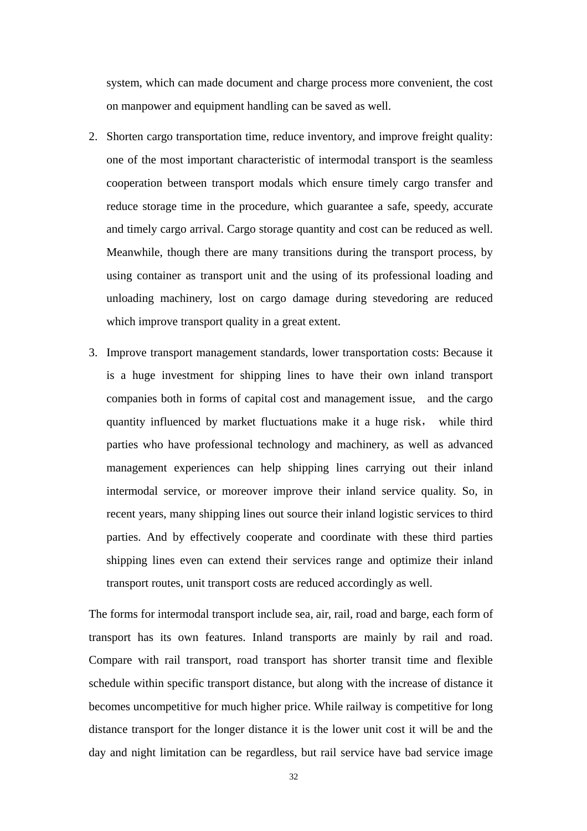system, which can made document and charge process more convenient, the cost on manpower and equipment handling can be saved as well.

- 2. Shorten cargo transportation time, reduce inventory, and improve freight quality: one of the most important characteristic of intermodal transport is the seamless cooperation between transport modals which ensure timely cargo transfer and reduce storage time in the procedure, which guarantee a safe, speedy, accurate and timely cargo arrival. Cargo storage quantity and cost can be reduced as well. Meanwhile, though there are many transitions during the transport process, by using container as transport unit and the using of its professional loading and unloading machinery, lost on cargo damage during stevedoring are reduced which improve transport quality in a great extent.
- 3. Improve transport management standards, lower transportation costs: Because it is a huge investment for shipping lines to have their own inland transport companies both in forms of capital cost and management issue, and the cargo quantity influenced by market fluctuations make it a huge risk, while third parties who have professional technology and machinery, as well as advanced management experiences can help shipping lines carrying out their inland intermodal service, or moreover improve their inland service quality. So, in recent years, many shipping lines out source their inland logistic services to third parties. And by effectively cooperate and coordinate with these third parties shipping lines even can extend their services range and optimize their inland transport routes, unit transport costs are reduced accordingly as well.

The forms for intermodal transport include sea, air, rail, road and barge, each form of transport has its own features. Inland transports are mainly by rail and road. Compare with rail transport, road transport has shorter transit time and flexible schedule within specific transport distance, but along with the increase of distance it becomes uncompetitive for much higher price. While railway is competitive for long distance transport for the longer distance it is the lower unit cost it will be and the day and night limitation can be regardless, but rail service have bad service image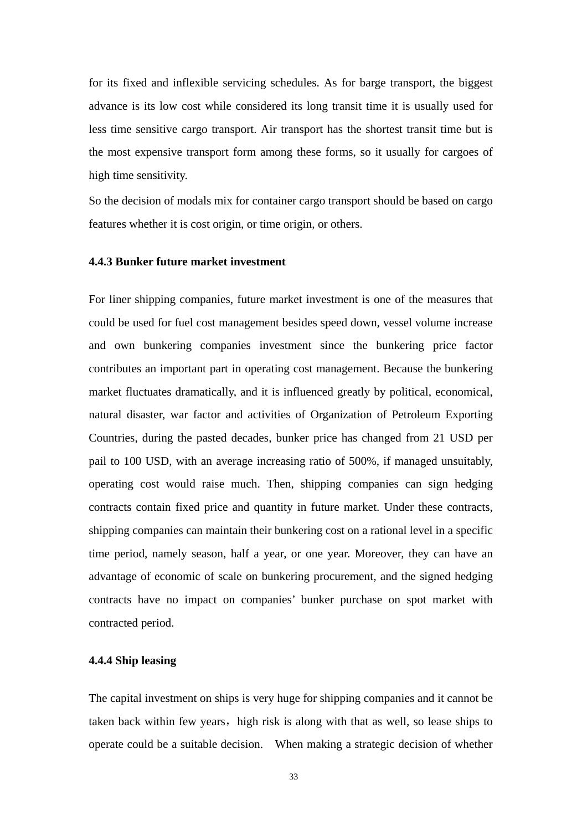for its fixed and inflexible servicing schedules. As for barge transport, the biggest advance is its low cost while considered its long transit time it is usually used for less time sensitive cargo transport. Air transport has the shortest transit time but is the most expensive transport form among these forms, so it usually for cargoes of high time sensitivity.

So the decision of modals mix for container cargo transport should be based on cargo features whether it is cost origin, or time origin, or others.

#### **4.4.3 Bunker future market investment**

For liner shipping companies, future market investment is one of the measures that could be used for fuel cost management besides speed down, vessel volume increase and own bunkering companies investment since the bunkering price factor contributes an important part in operating cost management. Because the bunkering market fluctuates dramatically, and it is influenced greatly by political, economical, natural disaster, war factor and activities of Organization of Petroleum Exporting Countries, during the pasted decades, bunker price has changed from 21 USD per pail to 100 USD, with an average increasing ratio of 500%, if managed unsuitably, operating cost would raise much. Then, shipping companies can sign hedging contracts contain fixed price and quantity in future market. Under these contracts, shipping companies can maintain their bunkering cost on a rational level in a specific time period, namely season, half a year, or one year. Moreover, they can have an advantage of economic of scale on bunkering procurement, and the signed hedging contracts have no impact on companies' bunker purchase on spot market with contracted period.

#### **4.4.4 Ship leasing**

The capital investment on ships is very huge for shipping companies and it cannot be taken back within few years, high risk is along with that as well, so lease ships to operate could be a suitable decision. When making a strategic decision of whether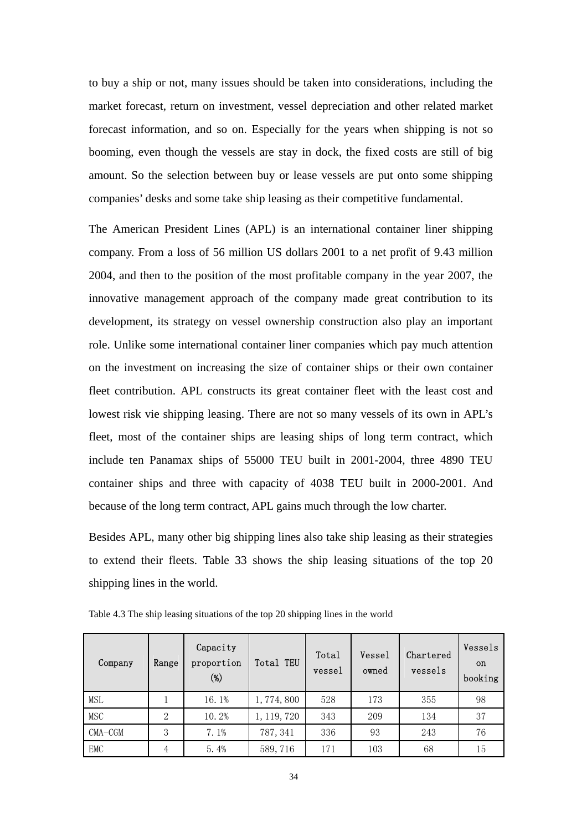to buy a ship or not, many issues should be taken into considerations, including the market forecast, return on investment, vessel depreciation and other related market forecast information, and so on. Especially for the years when shipping is not so booming, even though the vessels are stay in dock, the fixed costs are still of big amount. So the selection between buy or lease vessels are put onto some shipping companies' desks and some take ship leasing as their competitive fundamental.

The American President Lines (APL) is an international container liner shipping company. From a loss of 56 million US dollars 2001 to a net profit of 9.43 million 2004, and then to the position of the most profitable company in the year 2007, the innovative management approach of the company made great contribution to its development, its strategy on vessel ownership construction also play an important role. Unlike some international container liner companies which pay much attention on the investment on increasing the size of container ships or their own container fleet contribution. APL constructs its great container fleet with the least cost and lowest risk vie shipping leasing. There are not so many vessels of its own in APL's fleet, most of the container ships are leasing ships of long term contract, which include ten Panamax ships of 55000 TEU built in 2001-2004, three 4890 TEU container ships and three with capacity of 4038 TEU built in 2000-2001. And because of the long term contract, APL gains much through the low charter.

Besides APL, many other big shipping lines also take ship leasing as their strategies to extend their fleets. Table 33 shows the ship leasing situations of the top 20 shipping lines in the world.

| Company    | Range | Capacity<br>proportion<br>$(\%)$ | Total TEU   | Total<br>vessel | Vessel<br>owned | Chartered<br>vessels | Vessels<br><sub>on</sub><br>booking |
|------------|-------|----------------------------------|-------------|-----------------|-----------------|----------------------|-------------------------------------|
| MSL        |       | 16.1%                            | 1,774,800   | 528             | 173             | 355                  | 98                                  |
| <b>MSC</b> | 2     | 10.2%                            | 1, 119, 720 | 343             | 209             | 134                  | 37                                  |
| $CMA-CGM$  | 3     | 7.1%                             | 787, 341    | 336             | 93              | 243                  | 76                                  |
| EMC        | 4     | 5.4%                             | 589, 716    | 171             | 103             | 68                   | 15                                  |

Table 4.3 The ship leasing situations of the top 20 shipping lines in the world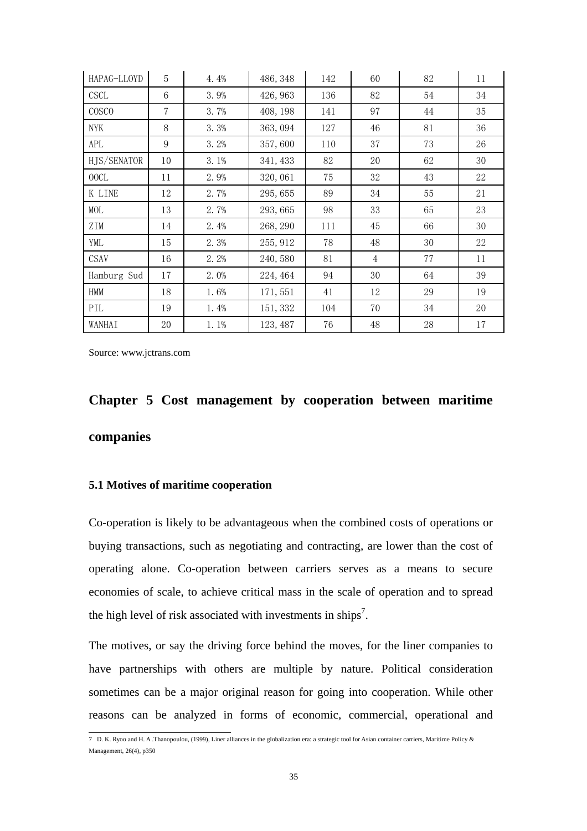| HAPAG-LLOYD  | 5              | 4.4% | 486, 348 | 142 | 60 | 82 | 11 |
|--------------|----------------|------|----------|-----|----|----|----|
| <b>CSCL</b>  | 6              | 3.9% | 426, 963 | 136 | 82 | 54 | 34 |
| <b>COSCO</b> | $\overline{7}$ | 3.7% | 408, 198 | 141 | 97 | 44 | 35 |
| <b>NYK</b>   | 8              | 3.3% | 363, 094 | 127 | 46 | 81 | 36 |
| APL          | 9              | 3.2% | 357,600  | 110 | 37 | 73 | 26 |
| HJS/SENATOR  | 10             | 3.1% | 341, 433 | 82  | 20 | 62 | 30 |
| 00CL         | 11             | 2.9% | 320,061  | 75  | 32 | 43 | 22 |
| K LINE       | 12             | 2.7% | 295, 655 | 89  | 34 | 55 | 21 |
| MOL          | 13             | 2.7% | 293, 665 | 98  | 33 | 65 | 23 |
| ZIM          | 14             | 2.4% | 268, 290 | 111 | 45 | 66 | 30 |
| YML          | 15             | 2.3% | 255, 912 | 78  | 48 | 30 | 22 |
| <b>CSAV</b>  | 16             | 2.2% | 240,580  | 81  | 4  | 77 | 11 |
| Hamburg Sud  | 17             | 2.0% | 224, 464 | 94  | 30 | 64 | 39 |
| <b>HMM</b>   | 18             | 1.6% | 171, 551 | 41  | 12 | 29 | 19 |
| PIL          | 19             | 1.4% | 151, 332 | 104 | 70 | 34 | 20 |
| WANHAI       | 20             | 1.1% | 123, 487 | 76  | 48 | 28 | 17 |

Source: www.jctrans.com

## **Chapter 5 Cost management by cooperation between maritime companies**

#### **5.1 Motives of maritime cooperation**

Co-operation is likely to be advantageous when the combined costs of operations or buying transactions, such as negotiating and contracting, are lower than the cost of operating alone. Co-operation between carriers serves as a means to secure economies of scale, to achieve critical mass in the scale of operation and to spread the high level of risk associated with investments in ships<sup>7</sup>.

The motives, or say the driving force behind the moves, for the liner companies to have partnerships with others are multiple by nature. Political consideration sometimes can be a major original reason for going into cooperation. While other reasons can be analyzed in forms of economic, commercial, operational and

 7 D. K. Ryoo and H. A .Thanopoulou, (1999), Liner alliances in the globalization era: a strategic tool for Asian container carriers, Maritime Policy & Management, 26(4), p350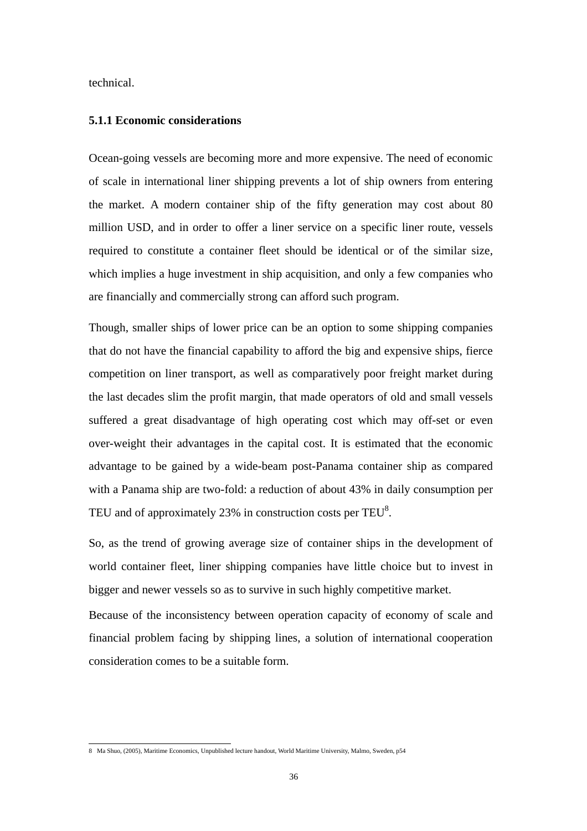technical.

#### **5.1.1 Economic considerations**

Ocean-going vessels are becoming more and more expensive. The need of economic of scale in international liner shipping prevents a lot of ship owners from entering the market. A modern container ship of the fifty generation may cost about 80 million USD, and in order to offer a liner service on a specific liner route, vessels required to constitute a container fleet should be identical or of the similar size, which implies a huge investment in ship acquisition, and only a few companies who are financially and commercially strong can afford such program.

Though, smaller ships of lower price can be an option to some shipping companies that do not have the financial capability to afford the big and expensive ships, fierce competition on liner transport, as well as comparatively poor freight market during the last decades slim the profit margin, that made operators of old and small vessels suffered a great disadvantage of high operating cost which may off-set or even over-weight their advantages in the capital cost. It is estimated that the economic advantage to be gained by a wide-beam post-Panama container ship as compared with a Panama ship are two-fold: a reduction of about 43% in daily consumption per TEU and of approximately 23% in construction costs per TEU<sup>8</sup>.

So, as the trend of growing average size of container ships in the development of world container fleet, liner shipping companies have little choice but to invest in bigger and newer vessels so as to survive in such highly competitive market.

Because of the inconsistency between operation capacity of economy of scale and financial problem facing by shipping lines, a solution of international cooperation consideration comes to be a suitable form.

 8 Ma Shuo, (2005), Maritime Economics, Unpublished lecture handout, World Maritime University, Malmo, Sweden, p54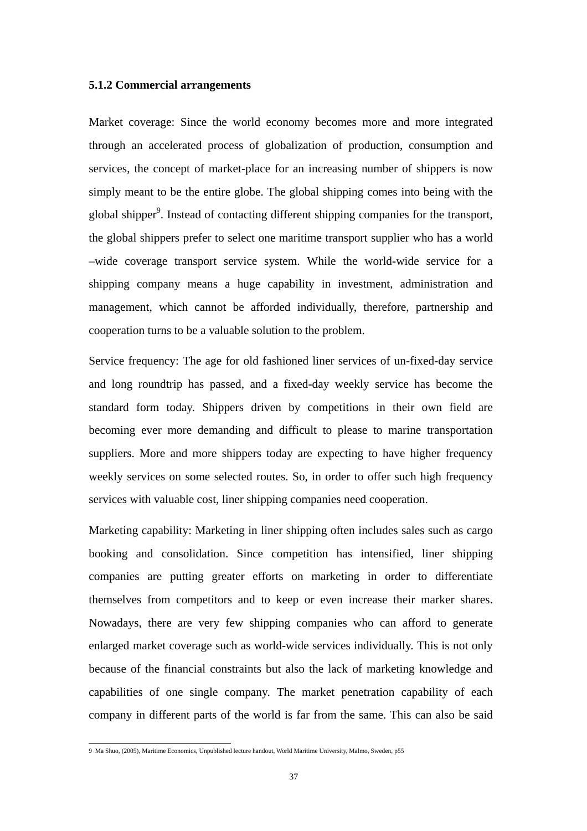#### **5.1.2 Commercial arrangements**

Market coverage: Since the world economy becomes more and more integrated through an accelerated process of globalization of production, consumption and services, the concept of market-place for an increasing number of shippers is now simply meant to be the entire globe. The global shipping comes into being with the global shipper<sup>9</sup>. Instead of contacting different shipping companies for the transport, the global shippers prefer to select one maritime transport supplier who has a world –wide coverage transport service system. While the world-wide service for a shipping company means a huge capability in investment, administration and management, which cannot be afforded individually, therefore, partnership and cooperation turns to be a valuable solution to the problem.

Service frequency: The age for old fashioned liner services of un-fixed-day service and long roundtrip has passed, and a fixed-day weekly service has become the standard form today. Shippers driven by competitions in their own field are becoming ever more demanding and difficult to please to marine transportation suppliers. More and more shippers today are expecting to have higher frequency weekly services on some selected routes. So, in order to offer such high frequency services with valuable cost, liner shipping companies need cooperation.

Marketing capability: Marketing in liner shipping often includes sales such as cargo booking and consolidation. Since competition has intensified, liner shipping companies are putting greater efforts on marketing in order to differentiate themselves from competitors and to keep or even increase their marker shares. Nowadays, there are very few shipping companies who can afford to generate enlarged market coverage such as world-wide services individually. This is not only because of the financial constraints but also the lack of marketing knowledge and capabilities of one single company. The market penetration capability of each company in different parts of the world is far from the same. This can also be said

 9 Ma Shuo, (2005), Maritime Economics, Unpublished lecture handout, World Maritime University, Malmo, Sweden, p55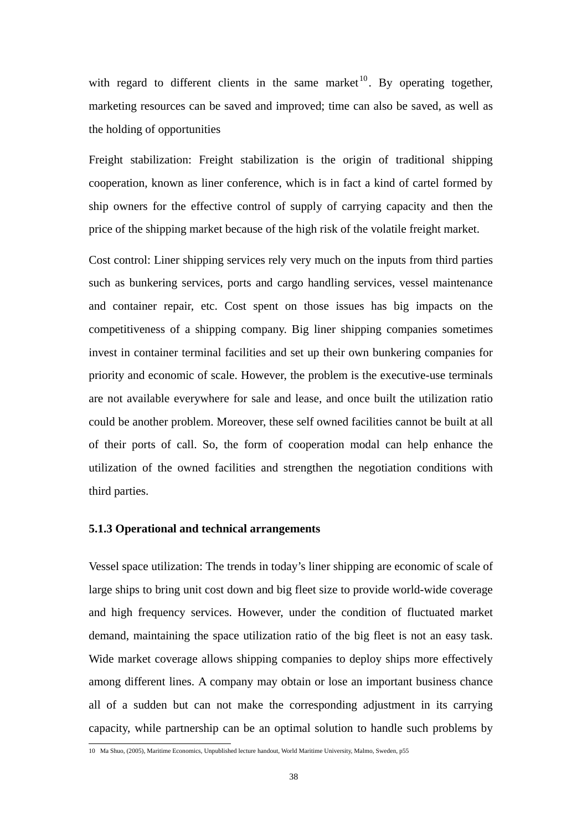with regard to different clients in the same market  $10$ . By operating together, marketing resources can be saved and improved; time can also be saved, as well as the holding of opportunities

Freight stabilization: Freight stabilization is the origin of traditional shipping cooperation, known as liner conference, which is in fact a kind of cartel formed by ship owners for the effective control of supply of carrying capacity and then the price of the shipping market because of the high risk of the volatile freight market.

Cost control: Liner shipping services rely very much on the inputs from third parties such as bunkering services, ports and cargo handling services, vessel maintenance and container repair, etc. Cost spent on those issues has big impacts on the competitiveness of a shipping company. Big liner shipping companies sometimes invest in container terminal facilities and set up their own bunkering companies for priority and economic of scale. However, the problem is the executive-use terminals are not available everywhere for sale and lease, and once built the utilization ratio could be another problem. Moreover, these self owned facilities cannot be built at all of their ports of call. So, the form of cooperation modal can help enhance the utilization of the owned facilities and strengthen the negotiation conditions with third parties.

#### **5.1.3 Operational and technical arrangements**

Vessel space utilization: The trends in today's liner shipping are economic of scale of large ships to bring unit cost down and big fleet size to provide world-wide coverage and high frequency services. However, under the condition of fluctuated market demand, maintaining the space utilization ratio of the big fleet is not an easy task. Wide market coverage allows shipping companies to deploy ships more effectively among different lines. A company may obtain or lose an important business chance all of a sudden but can not make the corresponding adjustment in its carrying capacity, while partnership can be an optimal solution to handle such problems by

 10 Ma Shuo, (2005), Maritime Economics, Unpublished lecture handout, World Maritime University, Malmo, Sweden, p55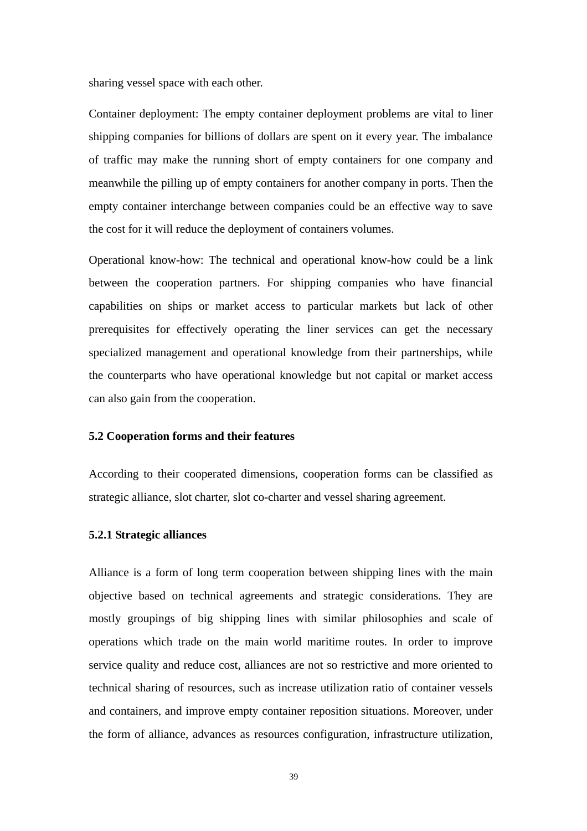sharing vessel space with each other.

Container deployment: The empty container deployment problems are vital to liner shipping companies for billions of dollars are spent on it every year. The imbalance of traffic may make the running short of empty containers for one company and meanwhile the pilling up of empty containers for another company in ports. Then the empty container interchange between companies could be an effective way to save the cost for it will reduce the deployment of containers volumes.

Operational know-how: The technical and operational know-how could be a link between the cooperation partners. For shipping companies who have financial capabilities on ships or market access to particular markets but lack of other prerequisites for effectively operating the liner services can get the necessary specialized management and operational knowledge from their partnerships, while the counterparts who have operational knowledge but not capital or market access can also gain from the cooperation.

#### **5.2 Cooperation forms and their features**

According to their cooperated dimensions, cooperation forms can be classified as strategic alliance, slot charter, slot co-charter and vessel sharing agreement.

#### **5.2.1 Strategic alliances**

Alliance is a form of long term cooperation between shipping lines with the main objective based on technical agreements and strategic considerations. They are mostly groupings of big shipping lines with similar philosophies and scale of operations which trade on the main world maritime routes. In order to improve service quality and reduce cost, alliances are not so restrictive and more oriented to technical sharing of resources, such as increase utilization ratio of container vessels and containers, and improve empty container reposition situations. Moreover, under the form of alliance, advances as resources configuration, infrastructure utilization,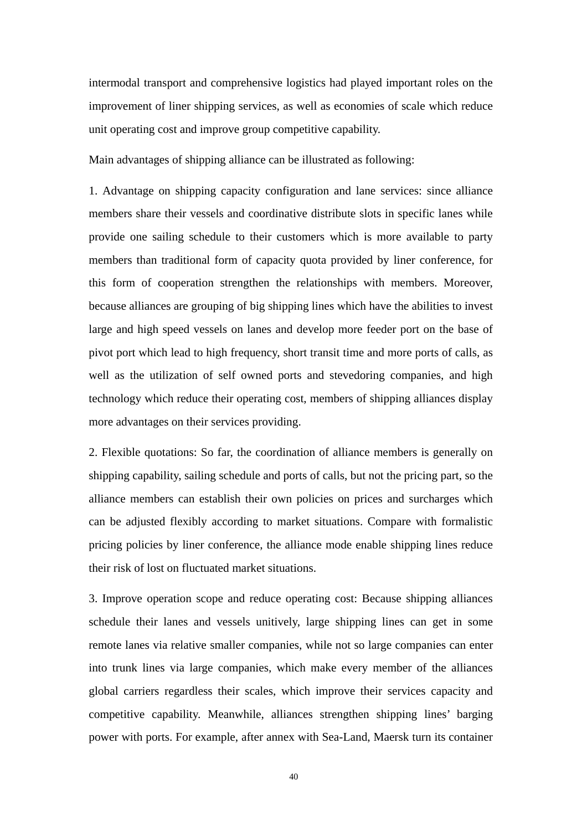intermodal transport and comprehensive logistics had played important roles on the improvement of liner shipping services, as well as economies of scale which reduce unit operating cost and improve group competitive capability.

Main advantages of shipping alliance can be illustrated as following:

1. Advantage on shipping capacity configuration and lane services: since alliance members share their vessels and coordinative distribute slots in specific lanes while provide one sailing schedule to their customers which is more available to party members than traditional form of capacity quota provided by liner conference, for this form of cooperation strengthen the relationships with members. Moreover, because alliances are grouping of big shipping lines which have the abilities to invest large and high speed vessels on lanes and develop more feeder port on the base of pivot port which lead to high frequency, short transit time and more ports of calls, as well as the utilization of self owned ports and stevedoring companies, and high technology which reduce their operating cost, members of shipping alliances display more advantages on their services providing.

2. Flexible quotations: So far, the coordination of alliance members is generally on shipping capability, sailing schedule and ports of calls, but not the pricing part, so the alliance members can establish their own policies on prices and surcharges which can be adjusted flexibly according to market situations. Compare with formalistic pricing policies by liner conference, the alliance mode enable shipping lines reduce their risk of lost on fluctuated market situations.

3. Improve operation scope and reduce operating cost: Because shipping alliances schedule their lanes and vessels unitively, large shipping lines can get in some remote lanes via relative smaller companies, while not so large companies can enter into trunk lines via large companies, which make every member of the alliances global carriers regardless their scales, which improve their services capacity and competitive capability. Meanwhile, alliances strengthen shipping lines' barging power with ports. For example, after annex with Sea-Land, Maersk turn its container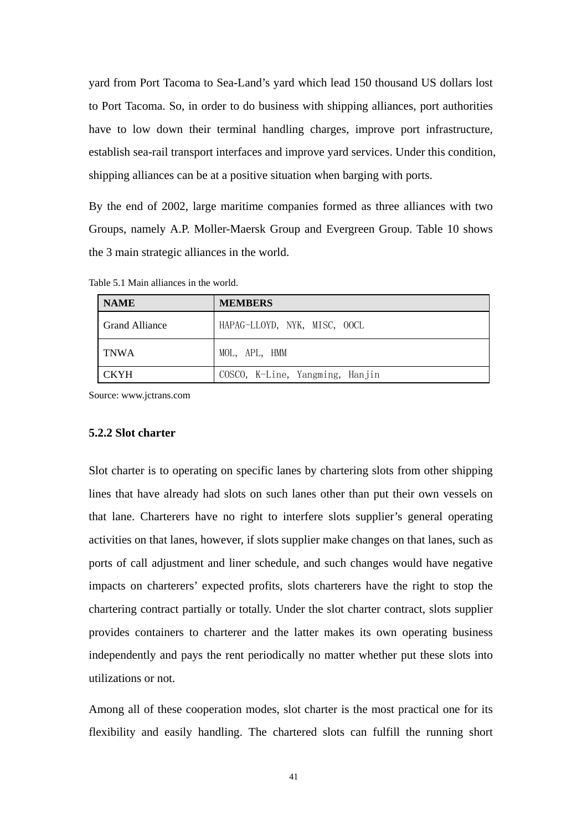yard from Port Tacoma to Sea-Land's yard which lead 150 thousand US dollars lost to Port Tacoma. So, in order to do business with shipping alliances, port authorities have to low down their terminal handling charges, improve port infrastructure, establish sea-rail transport interfaces and improve yard services. Under this condition, shipping alliances can be at a positive situation when barging with ports.

By the end of 2002, large maritime companies formed as three alliances with two Groups, namely A.P. Moller-Maersk Group and Evergreen Group. Table 10 shows the 3 main strategic alliances in the world.

| <b>NAME</b>    | <b>MEMBERS</b>                  |
|----------------|---------------------------------|
| Grand Alliance | HAPAG-LLOYD, NYK, MISC, OOCL    |
| <b>TNWA</b>    | MOL, APL, HMM                   |
| <b>CKYH</b>    | COSCO, K-Line, Yangming, Hanjin |

Table 5.1 Main alliances in the world.

Source: www.jctrans.com

#### **5.2.2 Slot charter**

Slot charter is to operating on specific lanes by chartering slots from other shipping lines that have already had slots on such lanes other than put their own vessels on that lane. Charterers have no right to interfere slots supplier's general operating activities on that lanes, however, if slots supplier make changes on that lanes, such as ports of call adjustment and liner schedule, and such changes would have negative impacts on charterers' expected profits, slots charterers have the right to stop the chartering contract partially or totally. Under the slot charter contract, slots supplier provides containers to charterer and the latter makes its own operating business independently and pays the rent periodically no matter whether put these slots into utilizations or not.

Among all of these cooperation modes, slot charter is the most practical one for its flexibility and easily handling. The chartered slots can fulfill the running short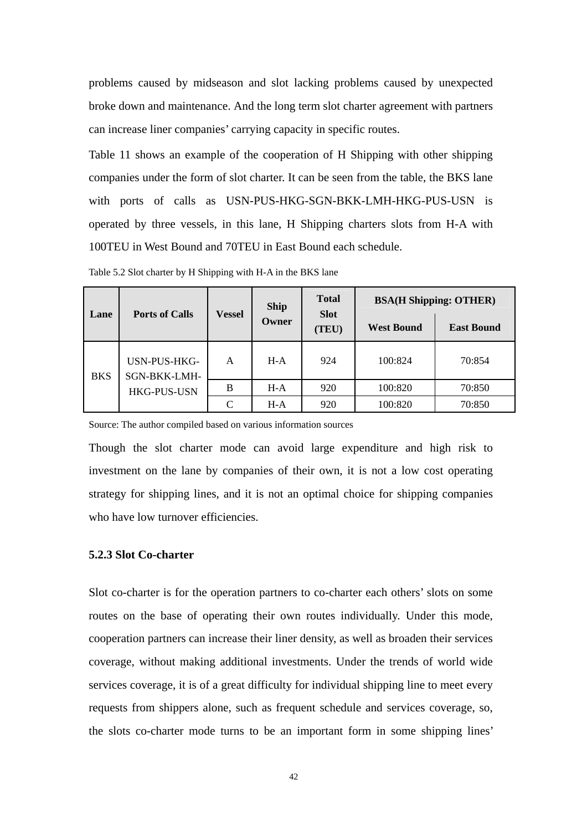problems caused by midseason and slot lacking problems caused by unexpected broke down and maintenance. And the long term slot charter agreement with partners can increase liner companies' carrying capacity in specific routes.

Table 11 shows an example of the cooperation of H Shipping with other shipping companies under the form of slot charter. It can be seen from the table, the BKS lane with ports of calls as USN-PUS-HKG-SGN-BKK-LMH-HKG-PUS-USN is operated by three vessels, in this lane, H Shipping charters slots from H-A with 100TEU in West Bound and 70TEU in East Bound each schedule.

| Lane       | <b>Ports of Calls</b>                              | <b>Ship</b><br>Vessel       |       | <b>Total</b><br><b>Slot</b> | <b>BSA(H Shipping: OTHER)</b> |                   |  |
|------------|----------------------------------------------------|-----------------------------|-------|-----------------------------|-------------------------------|-------------------|--|
|            |                                                    |                             | Owner | (TEU)                       | <b>West Bound</b>             | <b>East Bound</b> |  |
| <b>BKS</b> | USN-PUS-HKG-<br>SGN-BKK-LMH-<br><b>HKG-PUS-USN</b> | A                           | $H-A$ | 924                         | 100:824                       | 70:854            |  |
|            |                                                    | B                           | $H-A$ | 920                         | 100:820                       | 70:850            |  |
|            |                                                    | $\mathcal{C}_{\mathcal{C}}$ | $H-A$ | 920                         | 100:820                       | 70:850            |  |

Table 5.2 Slot charter by H Shipping with H-A in the BKS lane

Source: The author compiled based on various information sources

Though the slot charter mode can avoid large expenditure and high risk to investment on the lane by companies of their own, it is not a low cost operating strategy for shipping lines, and it is not an optimal choice for shipping companies who have low turnover efficiencies.

#### **5.2.3 Slot Co-charter**

Slot co-charter is for the operation partners to co-charter each others' slots on some routes on the base of operating their own routes individually. Under this mode, cooperation partners can increase their liner density, as well as broaden their services coverage, without making additional investments. Under the trends of world wide services coverage, it is of a great difficulty for individual shipping line to meet every requests from shippers alone, such as frequent schedule and services coverage, so, the slots co-charter mode turns to be an important form in some shipping lines'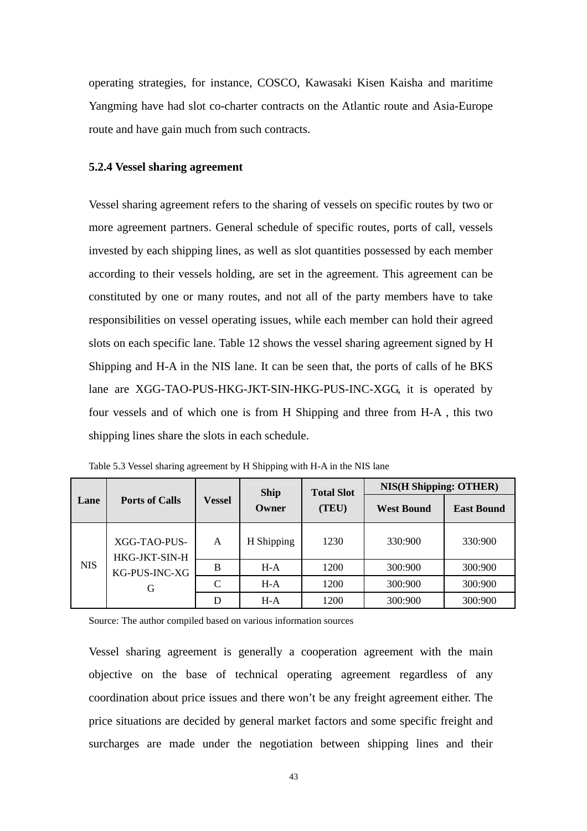operating strategies, for instance, COSCO, Kawasaki Kisen Kaisha and maritime Yangming have had slot co-charter contracts on the Atlantic route and Asia-Europe route and have gain much from such contracts.

#### **5.2.4 Vessel sharing agreement**

Vessel sharing agreement refers to the sharing of vessels on specific routes by two or more agreement partners. General schedule of specific routes, ports of call, vessels invested by each shipping lines, as well as slot quantities possessed by each member according to their vessels holding, are set in the agreement. This agreement can be constituted by one or many routes, and not all of the party members have to take responsibilities on vessel operating issues, while each member can hold their agreed slots on each specific lane. Table 12 shows the vessel sharing agreement signed by H Shipping and H-A in the NIS lane. It can be seen that, the ports of calls of he BKS lane are XGG-TAO-PUS-HKG-JKT-SIN-HKG-PUS-INC-XGG, it is operated by four vessels and of which one is from H Shipping and three from H-A , this two shipping lines share the slots in each schedule.

| Lane       | <b>Ports of Calls</b>                               | <b>Vessel</b> | <b>Ship</b><br>Owner | <b>Total Slot</b> | <b>NIS(H Shipping: OTHER)</b> |                   |
|------------|-----------------------------------------------------|---------------|----------------------|-------------------|-------------------------------|-------------------|
|            |                                                     |               |                      | (TEU)             | <b>West Bound</b>             | <b>East Bound</b> |
| <b>NIS</b> | XGG-TAO-PUS-<br>HKG-JKT-SIN-H<br>KG-PUS-INC-XG<br>G | A             | H Shipping           | 1230              | 330:900                       | 330:900           |
|            |                                                     | B             | $H-A$                | 1200              | 300:900                       | 300:900           |
|            |                                                     | C             | $H-A$                | 1200              | 300:900                       | 300:900           |
|            |                                                     | D             | H-A                  | 1200              | 300:900                       | 300:900           |

Table 5.3 Vessel sharing agreement by H Shipping with H-A in the NIS lane

Source: The author compiled based on various information sources

Vessel sharing agreement is generally a cooperation agreement with the main objective on the base of technical operating agreement regardless of any coordination about price issues and there won't be any freight agreement either. The price situations are decided by general market factors and some specific freight and surcharges are made under the negotiation between shipping lines and their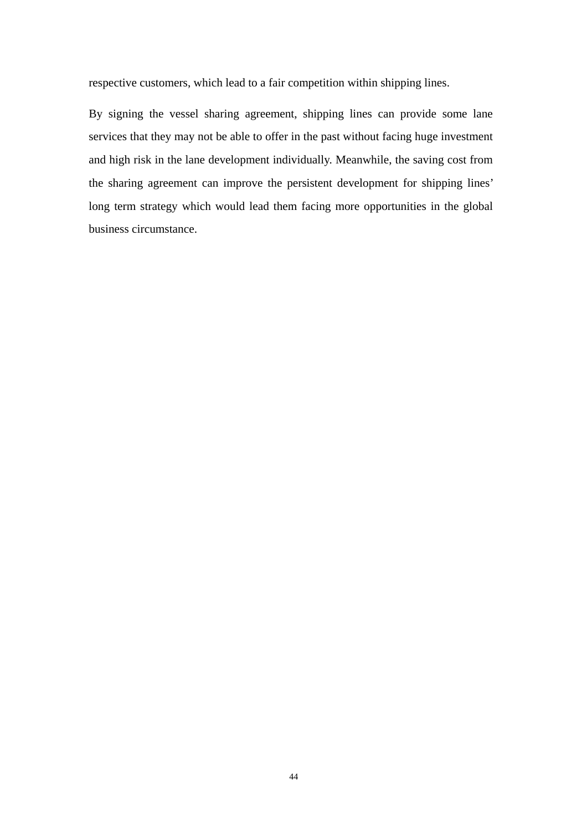respective customers, which lead to a fair competition within shipping lines.

By signing the vessel sharing agreement, shipping lines can provide some lane services that they may not be able to offer in the past without facing huge investment and high risk in the lane development individually. Meanwhile, the saving cost from the sharing agreement can improve the persistent development for shipping lines' long term strategy which would lead them facing more opportunities in the global business circumstance.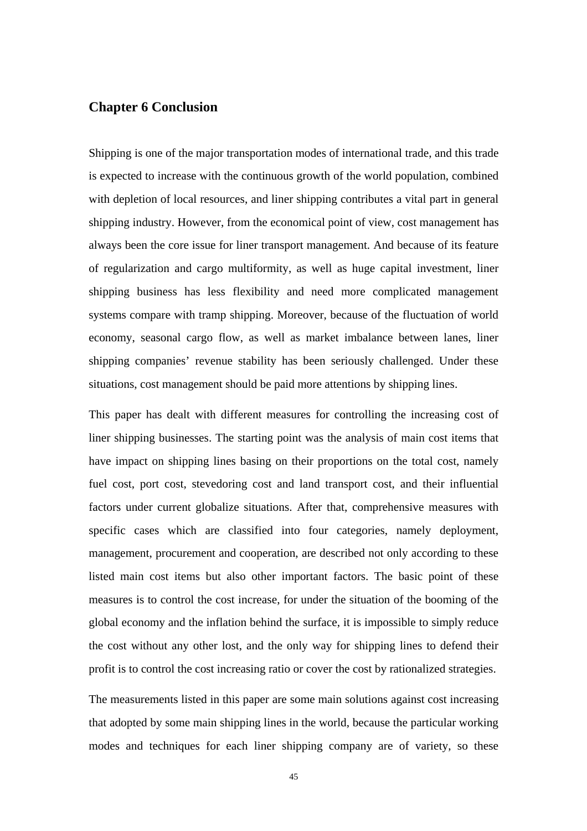#### **Chapter 6 Conclusion**

Shipping is one of the major transportation modes of international trade, and this trade is expected to increase with the continuous growth of the world population, combined with depletion of local resources, and liner shipping contributes a vital part in general shipping industry. However, from the economical point of view, cost management has always been the core issue for liner transport management. And because of its feature of regularization and cargo multiformity, as well as huge capital investment, liner shipping business has less flexibility and need more complicated management systems compare with tramp shipping. Moreover, because of the fluctuation of world economy, seasonal cargo flow, as well as market imbalance between lanes, liner shipping companies' revenue stability has been seriously challenged. Under these situations, cost management should be paid more attentions by shipping lines.

This paper has dealt with different measures for controlling the increasing cost of liner shipping businesses. The starting point was the analysis of main cost items that have impact on shipping lines basing on their proportions on the total cost, namely fuel cost, port cost, stevedoring cost and land transport cost, and their influential factors under current globalize situations. After that, comprehensive measures with specific cases which are classified into four categories, namely deployment, management, procurement and cooperation, are described not only according to these listed main cost items but also other important factors. The basic point of these measures is to control the cost increase, for under the situation of the booming of the global economy and the inflation behind the surface, it is impossible to simply reduce the cost without any other lost, and the only way for shipping lines to defend their profit is to control the cost increasing ratio or cover the cost by rationalized strategies.

The measurements listed in this paper are some main solutions against cost increasing that adopted by some main shipping lines in the world, because the particular working modes and techniques for each liner shipping company are of variety, so these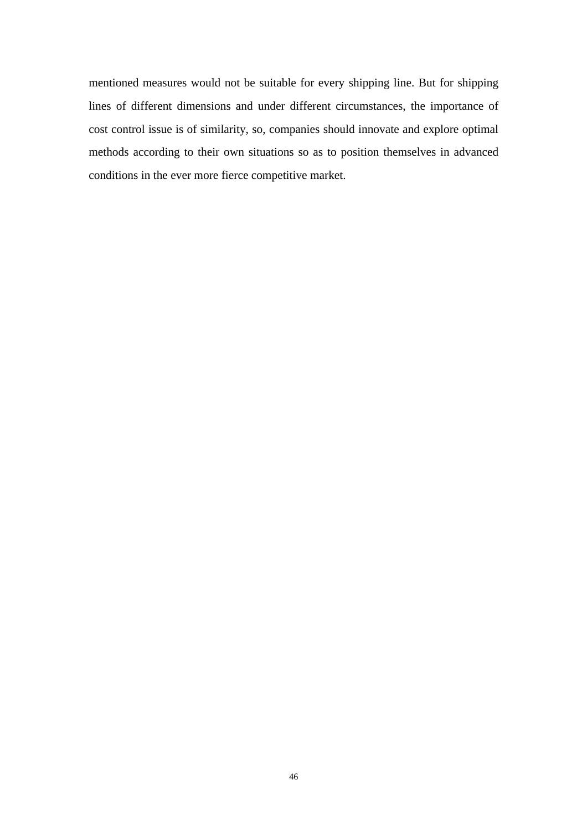mentioned measures would not be suitable for every shipping line. But for shipping lines of different dimensions and under different circumstances, the importance of cost control issue is of similarity, so, companies should innovate and explore optimal methods according to their own situations so as to position themselves in advanced conditions in the ever more fierce competitive market.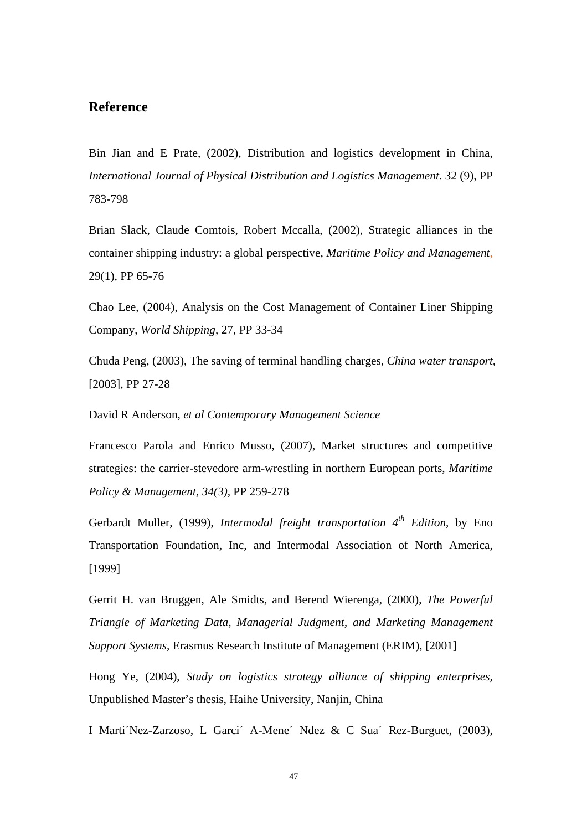#### **Reference**

Bin Jian and E Prate, (2002), Distribution and logistics development in China, *International Journal of Physical Distribution and Logistics Management.* 32 (9), PP 783-798

Brian Slack, Claude Comtois, Robert Mccalla, (2002), Strategic alliances in the container shipping industry: a global perspective*, Maritime Policy and Management*, 29(1), PP 65-76

Chao Lee, (2004), Analysis on the Cost Management of Container Liner Shipping Company, *World Shipping*, 27, PP 33-34

Chuda Peng, (2003), The saving of terminal handling charges, *China water transport,* [2003], PP 27-28

David R Anderson, *et al Contemporary Management Science*

Francesco Parola and Enrico Musso, (2007), Market structures and competitive strategies: the carrier-stevedore arm-wrestling in northern European ports, *Maritime Policy & Management, 34(3),* PP 259-278

Gerbardt Muller, (1999), *Intermodal freight transportation* 4<sup>th</sup> Edition, by Eno Transportation Foundation, Inc, and Intermodal Association of North America, [1999]

Gerrit H. van Bruggen, Ale Smidts, and Berend Wierenga, (2000), *The Powerful Triangle of Marketing Data, Managerial Judgment, and Marketing Management Support Systems,* Erasmus Research Institute of Management (ERIM), [2001]

Hong Ye, (2004), *Study on logistics strategy alliance of shipping enterprises,* Unpublished Master's thesis, Haihe University, Nanjin, China

I Marti´Nez-Zarzoso, L Garci´ A-Mene´ Ndez & C Sua´ Rez-Burguet, (2003),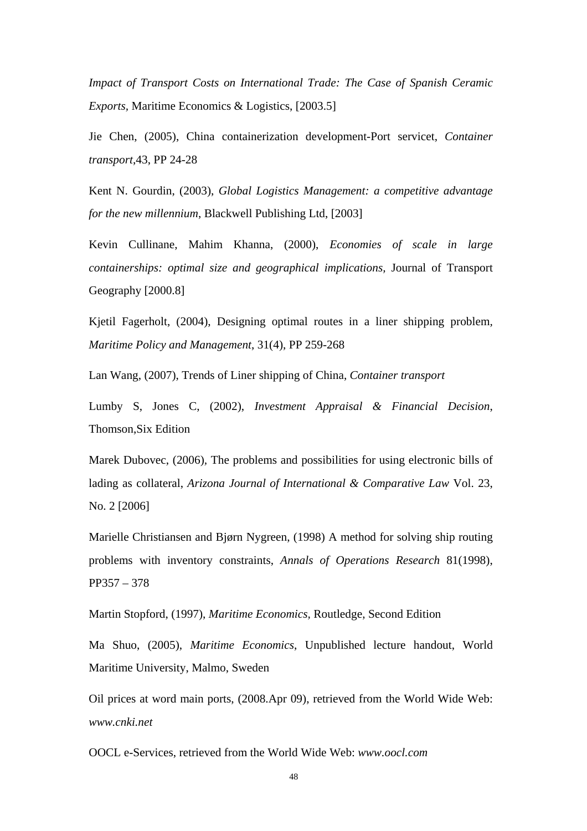*Impact of Transport Costs on International Trade: The Case of Spanish Ceramic Exports,* Maritime Economics & Logistics, [2003.5]

Jie Chen, (2005), China containerization development-Port servicet, *Container transport*,43, PP 24-28

Kent N. Gourdin, (2003), *Global Logistics Management: a competitive advantage for the new millennium*, Blackwell Publishing Ltd, [2003]

Kevin Cullinane, Mahim Khanna, (2000), *Economies of scale in large containerships: optimal size and geographical implications,* Journal of Transport Geography [2000.8]

Kjetil Fagerholt, (2004), Designing optimal routes in a liner shipping problem*, Maritime Policy and Management*, 31(4), PP 259-268

Lan Wang, (2007), Trends of Liner shipping of China, *Container transport*

Lumby S, Jones C, (2002), *Investment Appraisal & Financial Decision*, Thomson,Six Edition

Marek Dubovec, (2006)*,* The problems and possibilities for using electronic bills of lading as collateral, *Arizona Journal of International & Comparative Law* Vol. 23, No. 2 [2006]

Marielle Christiansen and Bjørn Nygreen, (1998) A method for solving ship routing problems with inventory constraints, *Annals of Operations Research* 81(1998), PP357 – 378

Martin Stopford, (1997), *Maritime Economics,* Routledge, Second Edition

Ma Shuo, (2005), *Maritime Economics*, Unpublished lecture handout, World Maritime University, Malmo, Sweden

Oil prices at word main ports, (2008.Apr 09), retrieved from the World Wide Web: *www.cnki.net* 

OOCL e-Services, retrieved from the World Wide Web: *www.oocl.com*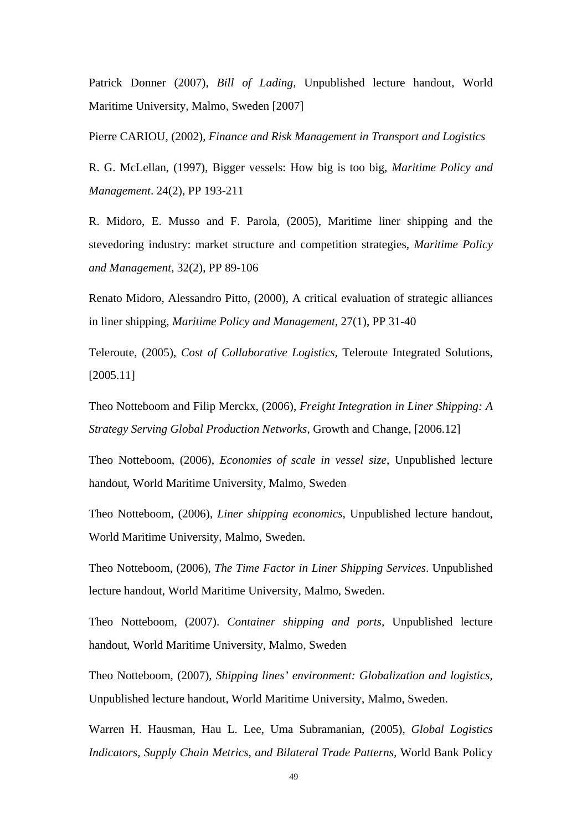Patrick Donner (2007), *Bill of Lading,* Unpublished lecture handout, World Maritime University, Malmo, Sweden [2007]

Pierre CARIOU, (2002), *Finance and Risk Management in Transport and Logistics*

R. G. McLellan, (1997), Bigger vessels: How big is too big*, Maritime Policy and Management*. 24(2), PP 193-211

R. Midoro, E. Musso and F. Parola, (2005), Maritime liner shipping and the stevedoring industry: market structure and competition strategies*, Maritime Policy and Management*, 32(2), PP 89-106

Renato Midoro, Alessandro Pitto, (2000), A critical evaluation of strategic alliances in liner shipping, *Maritime Policy and Management,* 27(1), PP 31-40

Teleroute, (2005), *Cost of Collaborative Logistics,* Teleroute Integrated Solutions, [2005.11]

Theo Notteboom and Filip Merckx, (2006), *Freight Integration in Liner Shipping: A Strategy Serving Global Production Networks*, Growth and Change, [2006.12]

Theo Notteboom, (2006), *Economies of scale in vessel size*, Unpublished lecture handout, World Maritime University, Malmo, Sweden

Theo Notteboom, (2006), *Liner shipping economics,* Unpublished lecture handout, World Maritime University, Malmo, Sweden.

Theo Notteboom, (2006), *The Time Factor in Liner Shipping Services*. Unpublished lecture handout, World Maritime University, Malmo, Sweden.

Theo Notteboom, (2007). *Container shipping and ports,* Unpublished lecture handout, World Maritime University, Malmo, Sweden

Theo Notteboom, (2007), *Shipping lines' environment: Globalization and logistics*, Unpublished lecture handout, World Maritime University, Malmo, Sweden.

Warren H. Hausman, Hau L. Lee, Uma Subramanian, (2005), *Global Logistics Indicators, Supply Chain Metrics, and Bilateral Trade Patterns,* World Bank Policy